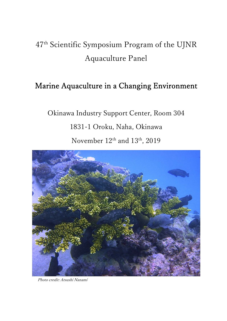# 47th Scientific Symposium Program of the UJNR Aquaculture Panel

# Marine Aquaculture in a Changing Environment

Okinawa Industry Support Center, Room 304 1831-1 Oroku, Naha, Okinawa November  $12^{\text{th}}$  and  $13^{\text{th}}$ ,  $2019$ 



Photo credit: Atsushi Nanami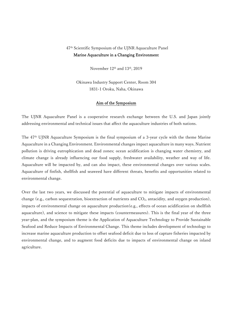### 47th Scientific Symposium of the UJNR Aquaculture Panel Marine Aquaculture in a Changing Environment

November 12th and 13th, 2019

Okinawa Industry Support Center, Room 304 1831-1 Oroku, Naha, Okinawa

### Aim of the Symposium

The UJNR Aquaculture Panel is a cooperative research exchange between the U.S. and Japan jointly addressing environmental and technical issues that affect the aquaculture industries of both nations.

The 47th UJNR Aquaculture Symposium is the final symposium of a 3-year cycle with the theme Marine Aquaculture in a Changing Environment. Environmental changes impact aquaculture in many ways. Nutrient pollution is driving eutrophication and dead zones; ocean acidification is changing water chemistry, and climate change is already influencing our food supply, freshwater availability, weather and way of life. Aquaculture will be impacted by, and can also impact, these environmental changes over various scales. Aquaculture of finfish, shellfish and seaweed have different threats, benefits and opportunities related to environmental change.

Over the last two years, we discussed the potential of aquaculture to mitigate impacts of environmental change (e.g., carbon sequestration, bioextraction of nutrients and  $CO<sub>2</sub>$ , antacidity, and oxygen production), impacts of environmental change on aquaculture production(e.g., effects of ocean acidification on shellfish aquaculture), and science to mitigate these impacts (countermeasures). This is the final year of the three year-plan, and the symposium theme is the Application of Aquaculture Technology to Provide Sustainable Seafood and Reduce Impacts of Environmental Change. This theme includes development of technology to increase marine aquaculture production to offset seafood deficit due to loss of capture fisheries impacted by environmental change, and to augment food deficits due to impacts of environmental change on inland agriculture.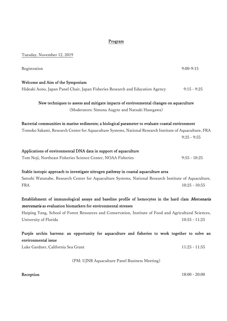### Program

| Tuesday, November 12, 2019                                                                                                                                                   |                 |
|------------------------------------------------------------------------------------------------------------------------------------------------------------------------------|-----------------|
| Registration                                                                                                                                                                 | $9:00-9:15$     |
| Welcome and Aim of the Symposium                                                                                                                                             |                 |
| Hideaki Aono, Japan Panel Chair, Japan Fisheries Research and Education Agency                                                                                               | $9:15 - 9:25$   |
| New techniques to assess and mitigate impacts of environmental changes on aquaculture                                                                                        |                 |
| (Moderators: Simona Augyte and Natsuki Hasegawa)                                                                                                                             |                 |
| Bacterial communities in marine sediments; a biological parameter to evaluate coastal environment                                                                            |                 |
| Tomoko Sakami, Research Center for Aquaculture Systems, National Research Institute of Aquaculture, FRA                                                                      | $9:25 - 9:55$   |
| Applications of environmental DNA data in support of aquaculture                                                                                                             |                 |
| Tom Noji, Northeast Fisheries Science Center, NOAA Fisheries                                                                                                                 | $9:55 - 10:25$  |
| Stable isotopic approach to investigate nitrogen pathway in coastal aquaculture area                                                                                         |                 |
| Satoshi Watanabe, Research Center for Aquaculture Systems, National Research Institute of Aquaculture,<br><b>FRA</b>                                                         | $10:25 - 10:55$ |
| Establishment of immunological assays and baseline profile of hemocytes in the hard clam Mercenaria<br><i>mercenaria</i> as evaluation biomarkers for environmental stresses |                 |
| Huiping Yang, School of Forest Resources and Conservation, Institute of Food and Agricultural Sciences,                                                                      |                 |
| University of Florida                                                                                                                                                        | $10:55 - 11:25$ |
| Purple urchin barrens: an opportunity for aquaculture and fisheries to work together to solve an<br>environmental issue                                                      |                 |
| Luke Gardner, California Sea Grant                                                                                                                                           | $11:25 - 11:55$ |
| (PM: UJNR Aquaculture Panel Business Meeting)                                                                                                                                |                 |

Reception 18:00 - 20:00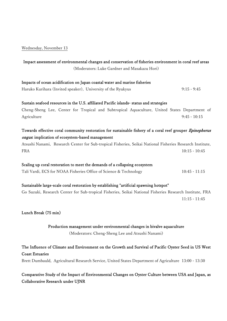### Wednesday, November 13

| Impact assessment of environmental changes and conservation of fisheries environment in coral reef areas                                                      |                 |  |
|---------------------------------------------------------------------------------------------------------------------------------------------------------------|-----------------|--|
| (Moderators: Luke Gardner and Masakazu Hori)                                                                                                                  |                 |  |
| Impacts of ocean acidification on Japan coastal water and marine fisheries                                                                                    |                 |  |
| Haruko Kurihara (Invited speaker), University of the Ryukyus                                                                                                  | $9:15 - 9:45$   |  |
| Sustain seafood resources in the U.S. affiliated Pacific islands-status and strategies                                                                        |                 |  |
| Cheng-Sheng Lee, Center for Tropical and Subtropical Aquaculture, United States Department of                                                                 |                 |  |
| Agriculture                                                                                                                                                   | $9:45 - 10:15$  |  |
| Towards effective coral community restoration for sustainable fishery of a coral reef grouper Epinepherus<br>ongus: implication of ecosystem-based management |                 |  |
| Atsushi Nanami, Research Center for Sub-tropical Fisheries, Seikai National Fisheries Research Institute,                                                     |                 |  |
| <b>FRA</b>                                                                                                                                                    | $10:15 - 10:45$ |  |
| Scaling up coral restoration to meet the demands of a collapsing ecosystem<br>Tali Vardi, ECS for NOAA Fisheries Office of Science & Technology               | $10:45 - 11:15$ |  |
| Sustainable large-scale coral restoration by establishing "artificial spawning hotspot"                                                                       |                 |  |
| Go Suzuki, Research Center for Sub-tropical Fisheries, Seikai National Fisheries Research Institute, FRA                                                      |                 |  |
|                                                                                                                                                               | $11:15 - 11:45$ |  |
| Lunch Break (75 min)                                                                                                                                          |                 |  |

### Production management under environmental changes in bivalve aquaculture

(Moderators: Cheng-Sheng Lee and Atsushi Nanami)

# The Influence of Climate and Environment on the Growth and Survival of Pacific Oyster Seed in US West Coast Estuaries

Brett Dumbauld, Agricultural Research Service, United States Department of Agriculture 13:00 - 13:30

# Comparative Study of the Impact of Environmental Changes on Oyster Culture between USA and Japan, as Collaborative Research under UJNR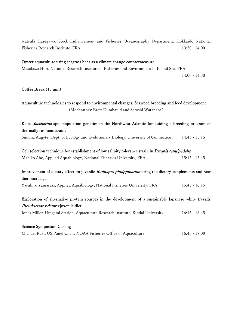Natsuki Hasegawa, Stock Enhancement and Fisheries Oceanography Department, Hokkaido National Fisheries Research Institute, FRA 13:30 - 14:00

### Oyster aquaculture using seagrass beds as a climate change countermeasure

Masakazu Hori, National Research Institute of Fisheries and Environment of Inland Sea, FRA

14:00 - 14:30

### Coffee Break (15 min)

Aquaculture technologies to respond to environmental changes; Seaweed breeding and feed development (Moderators: Brett Dumbauld and Satoshi Watanabe)

# Kelp, Saccharina spp, population genetics in the Northwest Atlantic for guiding a breeding program of thermally resilient strains

Simona Augyte, Dept. of Ecology and Evolutionary Biology, University of Connecticut 14:45 - 15:15

Cell selection technique for establishment of low salinity tolerance strain in Pyropia tenuipedalis Mahiko Abe, Applied Aquabiology, National Fisheries University, FRA 15:15 - 15:45

# Improvement of dietary effect on juvenile Ruditapes philippinarum using the dietary-supplements and new diet microalga

Yasuhiro Yamasaki, Applied Aquabiology, National Fisheries University, FRA 15:45 - 16:15

### Exploration of alternative protein sources in the development of a sustainable Japanese white trevally Pseudocaranx dentex juvenile diet

Jonas Miller, Uragami Station, Aquaculture Research Institute, Kindai University 16:15 - 16:45

# Science Symposium Closing

```
Michael Rust, US Panel Chair, NOAA Fisheries Office of Aquaculture 16:45 - 17:00
```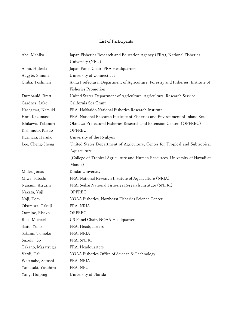# List of Participants

| Abe, Mahiko        | Japan Fisheries Research and Education Agency (FRA), National Fisheries           |
|--------------------|-----------------------------------------------------------------------------------|
|                    | University (NFU)                                                                  |
| Aono, Hideaki      | Japan Panel Chair, FRA Headquarters                                               |
| Augyte, Simona     | University of Connecticut                                                         |
| Chiba, Toshinari   | Akita Prefectural Department of Agriculture, Forestry and Fisheries, Institute of |
|                    | <b>Fisheries Promotion</b>                                                        |
| Dumbauld, Brett    | United States Department of Agriculture, Agricultural Research Service            |
| Gardner, Luke      | California Sea Grant                                                              |
| Hasegawa, Natsuki  | FRA, Hokkaido National Fisheries Research Institute                               |
| Hori, Kazumasa     | FRA, National Research Institute of Fisheries and Environment of Inland Sea       |
| Ishikawa, Takanori | Okinawa Prefectural Fisheries Research and Extension Center (OPFREC)              |
| Kishimoto, Kazuo   | <b>OPFREC</b>                                                                     |
| Kurihara, Haruko   | University of the Ryukyus                                                         |
| Lee, Cheng-Sheng   | United States Department of Agriculture, Center for Tropical and Subtropical      |
|                    | Aquaculture                                                                       |
|                    | (College of Tropical Agriculture and Human Resources, University of Hawaii at     |
|                    | Manoa)                                                                            |
| Miller, Jonas      | Kindai University                                                                 |
| Miwa, Satoshi      | FRA, National Research Institute of Aquaculture (NRIA)                            |
| Nanami, Atsushi    | FRA, Seikai National Fisheries Research Institute (SNFRI)                         |
| Nakata, Yuji       | OPFREC                                                                            |
| Noji, Tom          | NOAA Fisheries, Northeast Fisheries Science Center                                |
| Okumura, Takuji    | FRA, NRIA                                                                         |
| Oomine, Risako     | <b>OPFREC</b>                                                                     |
| Rust, Michael      | US Panel Chair, NOAA Headquarters                                                 |
| Saito, Yoho        | FRA, Headquarters                                                                 |
| Sakami, Tomoko     | FRA, NRIA                                                                         |
| Suzuki, Go         | FRA, SNFRI                                                                        |
| Takano, Masatsugu  | FRA, Headquarters                                                                 |
| Vardi, Tali        | NOAA Fisheries Office of Science & Technology                                     |
| Watanabe, Satoshi  | FRA, NRIA                                                                         |
| Yamasaki, Yasuhiro | FRA, NFU                                                                          |
| Yang, Huiping      | University of Florida                                                             |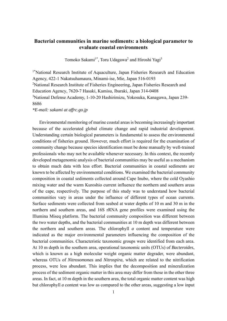# **Bacterial communities in marine sediments: a biological parameter to evaluate coastal environments**

Tomoko Sakami<sup>1\*</sup>, Toru Udagawa<sup>2</sup> and Hiroshi Yagi<sup>3</sup>

<sup>1\*</sup>National Research Institute of Aquaculture, Japan Fisheries Research and Education Agency, 422-1 Nakatsuhamaura, Minami-ise, Mie, Japan 516-0193 <sup>2</sup>National Research Institute of Fisheries Engineering, Japan Fisheries Research and Education Agency, 7620-7 Hasaki, Kamisu, Ibaraki, Japan 314-0408 3 National Defense Academy, 1-10-20 Hashirimizu, Yokosuka, Kanagawa, Japan 239- 8686

*\*E-mail: sakami at affrc.go.jp* 

Environmental monitoring of marine coastal areas is becoming increasingly important because of the accelerated global climate change and rapid industrial development. Understanding certain biological parameters is fundamental to assess the environmental conditions of fisheries ground. However, much effort is required for the examination of community change because species identification must be done manually by well-trained professionals who may not be available whenever necessary. In this context, the recently developed metagenomic analysis of bacterial communities may be useful as a mechanism to obtain much data with less effort. Bacterial communities in coastal sediments are known to be affected by environmental conditions. We examined the bacterial community composition in coastal sediments collected around Cape Inubo, where the cold Oyashio mixing water and the warm Kuroshio current influence the northern and southern areas of the cape, respectively. The purpose of this study was to understand how bacterial communities vary in areas under the influence of different types of ocean currents. Surface sediments were collected from seabed at water depths of 10 m and 30 m in the northern and southern areas, and 16S rRNA gene profiles were examined using the Illumina Miseq platform. The bacterial community composition was different between the two water depths, and the bacterial communities at 10 m depth was different between the northern and southern areas. The chlorophyll *a* content and temperature were indicated as the major environmental parameters influencing the composition of the bacterial communities. Characteristic taxonomic groups were identified from each area. At 10 m depth in the southern area, operational taxonomic units (OTUs) of *Bacteroides*, which is known as a high molecular weight organic matter degrader, were abundant, whereas OTUs of *Nitrosomonas* and *Nitrospira*, which are related to the nitrification process, were less abundant. This implies that the decomposition and mineralization process of the sediment organic matter in this area may differ from those in the other three areas. In fact, at 10 m depth in the southern area, the total organic matter content was high but chlorophyll *a* content was low as compared to the other areas, suggesting a low input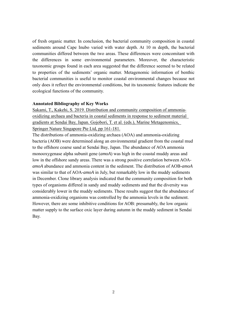of fresh organic matter. In conclusion, the bacterial community composition in coastal sediments around Cape Inubo varied with water depth. At 10 m depth, the bacterial communities differed between the two areas. These differences were concomitant with the differences in some environmental parameters. Moreover, the characteristic taxonomic groups found in each area suggested that the difference seemed to be related to properties of the sediments' organic matter. Metagenomic information of benthic bacterial communities is useful to monitor coastal environmental changes because not only does it reflect the environmental conditions, but its taxonomic features indicate the ecological functions of the community.

#### **Annotated Bibliography of Key Works**

Sakami, T., Kakehi, S. 2019. Distribution and community composition of ammoniaoxidizing archaea and bacteria in coastal sediments in response to sediment material gradients at Sendai Bay, Japan. Gojobori, T. et al. (eds.), Marine Metagenomics, Springer Nature Singapore Pte Ltd, pp 161-181.

The distributions of ammonia-oxidizing archaea (AOA) and ammonia-oxidizing bacteria (AOB) were determined along an environmental gradient from the coastal mud to the offshore coarse sand at Sendai Bay, Japan. The abundance of AOA ammonia monooxygenase alpha subunit gene (*amoA*) was high in the coastal muddy areas and low in the offshore sandy areas. There was a strong positive correlation between AOA*amoA* abundance and ammonia content in the sediment. The distribution of AOB-*amoA* was similar to that of AOA-*amoA* in July, but remarkably low in the muddy sediments in December. Clone library analysis indicated that the community composition for both types of organisms differed in sandy and muddy sediments and that the diversity was considerably lower in the muddy sediments. These results suggest that the abundance of ammonia-oxidizing organisms was controlled by the ammonia levels in the sediment. However, there are some inhibitive conditions for AOB: presumably, the low organic matter supply to the surface oxic layer during autumn in the muddy sediment in Sendai Bay.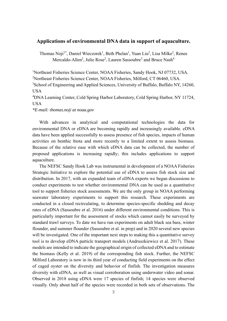### **Applications of environmental DNA data in support of aquaculture.**

Thomas Noji<sup>1\*</sup>, Daniel Wieczorek<sup>1</sup>, Beth Phelan<sup>1</sup>, Yuan Liu<sup>2</sup>, Lisa Milke<sup>2</sup>, Renee Mercaldo-Allen<sup>2</sup>, Julie Rose<sup>2</sup>, Lauren Sassoubre<sup>3</sup> and Bruce Nash<sup>4</sup>

<sup>1</sup>Northeast Fisheries Science Center, NOAA Fisheries, Sandy Hook, NJ 07732, USA. 2 Northeast Fisheries Science Center, NOAA Fisheries, Milford, CT 06460, USA. <sup>3</sup>School of Engineering and Applied Sciences, University of Buffalo, Buffalo NY, 14260, USA

4 DNA Learning Center, Cold Spring Harbor Laboratory, Cold Spring Harbor, NY 11724, USA

*\*E-mail: thomas.noji at noaa.gov* 

With advances in analytical and computational technologies the data for environmental DNA or eDNA are becoming rapidly and increasingly available. eDNA data have been applied successfully to assess presence of fish species, impacts of human activities on benthic biota and more recently to a limited extent to assess biomass. Because of the relative ease with which eDNA data can be collected, the number of proposed applications is increasing rapidly; this includes applications to support aquaculture.

The NEFSC Sandy Hook Lab was instrumental in development of a NOAA Fisheries Strategic Initiative to explore the potential use of eDNA to assess fish stock size and distribution. In 2017, with an expanded team of eDNA experts we began discussions to conduct experiments to test whether environmental DNA can be used as a quantitative tool to support fisheries stock assessments. We are the only group in NOAA performing seawater laboratory experiments to support this research. These experiments are conducted in a closed recirculating, to determine species-specific shedding and decay rates of eDNA (Sassoubre et al. 2016) under different environmental conditions. This is particularly important for the assessment of stocks which cannot easily be surveyed by standard trawl surveys. To date we have run experiments on adult black sea bass, winter flounder, and summer flounder (Sassoubre et al. in prep) and in 2020 several new species will be investigated. One of the important next steps to making this a quantitative survey tool is to develop eDNA particle transport models (Andruszkiewicz et al. 2017). These models are intended to indicate the geographical origin of collected eDNA and to estimate the biomass (Kelly et al. 2019) of the corresponding fish stock. Further, the NEFSC Milford Laboratory is now in its third year of conducting field experiments on the effect of caged oyster on the diversity and behavior of finfish. The investigation measures diversity with eDNA, as well as visual corroboration using underwater video and sonar. Observed in 2018 using eDNA were 17 species of finfish; 14 species were observed visually. Only about half of the species were recorded in both sets of observations. The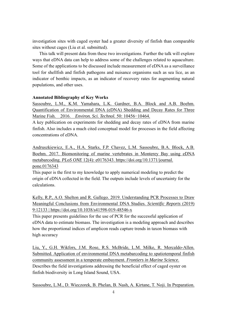investigation sites with caged oyster had a greater diversity of finfish than comparable sites without cages (Liu et al. submitted).

This talk will present data from these two investigations. Further the talk will explore ways that eDNA data can help to address some of the challenges related to aquaculture. Some of the applications to be discussed include measurement of eDNA as a surveillance tool for shellfish and finfish pathogens and nuisance organisms such as sea lice, as an indicator of benthic impacts, as an indicator of recovery rates for augmenting natural populations, and other uses.

### **Annotated Bibliography of Key Works**

Sassoubre, L.M., K.M. Yamahara, L.K. Gardner, B.A. Block and A.B. Boehm. Quantification of Environmental DNA (eDNA) Shedding and Decay Rates for Three Marine Fish. 2016. *Environ. Sci. Technol.* 50: 10456−10464.

A key publication on experiments for shedding and decay rates of eDNA from marine finfish. Also includes a much cited conceptual model for processes in the field affecting concentrations of eDNA.

Andruszkiewicz, E.A., H.A. Starks, F.P. Chavez, L.M. Sassoubre, B.A. Block, A.B. Boehm. 2017. Biomonitoring of marine vertebrates in Monterey Bay using eDNA metabarcoding. *PLoS ONE* 12(4): e0176343. https://doi.org/10.1371/journal. pone.0176343

This paper is the first to my knowledge to apply numerical modeling to predict the origin of eDNA collected in the field. The outputs include levels of uncertainty for the calculations.

Kelly, R.P., A.O. Shelton and R. Gallego. 2019. Understanding PCR Processes to Draw Meaningful Conclusions from Environmental DNA Studies. *Scientific Reports* (2019) 9:12133 | https://doi.org/10.1038/s41598-019-48546-x

This paper presents guidelines for the use of PCR for the successful application of eDNA data to estimate biomass. The investigation is a modeling approach and describes how the proportional indices of amplicon reads capture trends in taxon biomass with high accuracy

Liu, Y., G.H. Wikfors, J.M. Rose, R.S. McBride, L.M. Milke, R. Mercaldo-Allen. Submitted. Application of environmental DNA metabarcoding to spatiotemporal finfish community assessment in a temperate embayment. *Frontiers in Marine Science*. Describes the field investigations addressing the beneficial effect of caged oyster on finfish biodiversity in Long Island Sound, USA.

Sassoubre, L.M., D. Wieczorek, B. Phelan, B. Nash, A. Kirtane, T. Noji. In Preparation.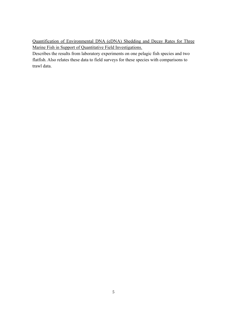Quantification of Environmental DNA (eDNA) Shedding and Decay Rates for Three Marine Fish in Support of Quantitative Field Investigations.

Describes the results from laboratory experiments on one pelagic fish species and two flatfish. Also relates these data to field surveys for these species with comparisons to trawl data.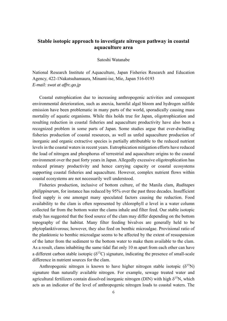# **Stable isotopic approach to investigate nitrogen pathway in coastal aquaculture area**

#### Satoshi Watanabe

National Research Institute of Aquaculture, Japan Fisheries Research and Education Agency, 422-1Nakatsuhamaura, Minami-ise, Mie, Japan 516-0193 *E-mail: swat at affrc.go.jp* 

Coastal eutrophication due to increasing anthropogenic activities and consequent environmental deterioration, such as anoxia, harmful algal bloom and hydrogen sulfide emission have been problematic in many parts of the world, sporadically causing mass mortality of aquatic organisms. While this holds true for Japan, oligotrophication and resulting reduction in coastal fisheries and aquaculture productivity have also been a recognized problem in some parts of Japan. Some studies argue that ever-dwindling fisheries production of coastal resources, as well as unfed aquaculture production of inorganic and organic extractive species is partially attributable to the reduced nutrient levels in the coastal waters in recent years. Eutrophication mitigation efforts have reduced the load of nitrogen and phosphorus of terrestrial and aquaculture origins to the coastal environment over the past forty years in Japan. Allegedly excessive oligotrophication has reduced primary productivity and hence carrying capacity or coastal ecosystems supporting coastal fisheries and aquaculture. However, complex nutrient flows within coastal ecosystems are not necessarily well understood.

Fisheries production, inclusive of bottom culture, of the Manila clam, *Ruditapes philippinarum*, for instance has reduced by 95% over the past three decades. Insufficient food supply is one amongst many speculated factors causing the reduction. Food availability to the clam is often represented by chlorophyll *a* level in a water column collected far from the bottom water the clams inhale and filter feed. Our stable isotopic study has suggested that the food source of the clam may differ depending on the bottom topography of the habitat. Many filter feeding bivalves are generally held to be phytoplanktivorous; however, they also feed on benthic microalgae. Provisional ratio of the planktonic to benthic microalgae seems to be affected by the extent of resuspension of the latter from the sediment to the bottom water to make them available to the clam. As a result, clams inhabiting the same tidal flat only 10 m apart from each other can have a different carbon stable isotopic  $(\delta^{13}C)$  signature, indicating the presence of small-scale difference in nutrient sources for the clam.

Anthropogenic nitrogen is known to have higher nitrogen stable isotopic  $(\delta^{15}N)$ signature than naturally available nitrogen. For example, sewage treated water and agricultural fertilizers contain dissolved inorganic nitrogen (DIN) with high  $\delta^{15}N$ , which acts as an indicator of the level of anthropogenic nitrogen loads to coastal waters. The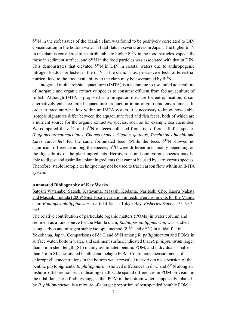$\delta^{15}$ N in the soft tissues of the Manila clam was found to be positively correlated to DIN concentration in the bottom water in tidal flats in several areas in Japan. The higher  $\delta^{15}N$ in the clam is considered to be attributable to higher  $\delta^{15}N$  in the food particles, especially those in sediment surface, and  $\delta^{15}N$  in the food particles was associated with that in DIN. This demonstrates that elevated  $\delta^{15}N$  in DIN in coastal waters due to anthropogenic nitrogen loads is reflected in the  $\delta^{15}N$  in the clam. Thus, pervasive effects of terrestrial nutrient load to the food availability to the clam may be ascertained by  $\delta^{15}N$ .

Integrated multi-trophic aquaculture (IMTA) is a technique to use unfed aquaculture of inorganic and organic extractive species to consume effluent from fed aquaculture of finfish. Although IMTA is proposed as a mitigation measure for eutrophication, it can alternatively enhance unfed aquaculture production in an oligotrophic environment. In order to trace nutrient flow within an IMTA system, it is necessary to know how stable isotopic signatures differ between the aquaculture feed and fish feces, both of which are a nutrient source for the organic extractive species, such as for example sea cucumber. We compared the  $\delta^{13}C$  and  $\delta^{15}N$  of feces collected from five different finfish species (*Lutjanus argentimaculatus, Chanos chanos, Siganus guttatus, Trachinotus blochii* and *Lates calcarifer*) fed the same formulated feed. While the feces  $\delta^{15}N$  showed no significant difference among the species,  $\delta^{13}$ C were different presumably depending on the digestibility of the plant ingredients. Herbivorous and omnivorous species may be able to digest and assimilate plant ingredients that cannot be used by carnivorous species. Therefore, stable isotopic technique may not be used to trace carbon flow within an IMTA system.

#### **Annotated Bibliography of Key Works**

Satoshi Watanabe, Satoshi Katayama, Masashi Kodama, Naritoshi Cho, Kaoru Nakata and Masaaki Fukuda (2009) Small-scale variation in feeding environments for the Manila clam *Ruditapes philippinarum* in a tidal flat in Tokyo Bay. *Fisheries Science* 75: 937– 945.

The relative contribution of particulate organic matters (POMs) in water column and sediment as a food source for the Manila clam, *Ruditapes philippinarum*, was studied using carbon and nitrogen stable isotopic method ( $\delta^{13}$ C and  $\delta^{15}$ N) in a tidal flat in Yokohama, Japan. Comparisons of  $\delta^{13}C$  and  $\delta^{15}N$  among *R. philippinarum* and POMs in surface water, bottom water, and sediment surface indicated that *R. philippinarum* larger than 5 mm shell length (SL) mainly assimilated benthic POM, and individuals smaller than 5 mm SL assimilated benthic and pelagic POM. Continuous measurements of chlorophyll concentrations in the bottom water revealed tide-driven resuspension of the benthic phytopigments. *R. philippinarum* showed differences in  $\delta^{13}C$  and  $\delta^{15}N$  along an inshore–offshore transect, indicating small-scale spatial differences in POM provision in the tidal flat. These findings suggest that POM in the bottom water, supposedly inhaled by *R. philippinarum*, is a mixture of a larger proportion of resuspended benthic POM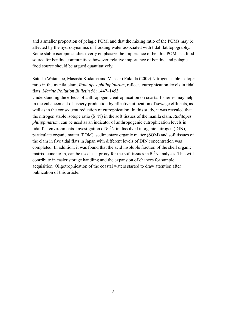and a smaller proportion of pelagic POM, and that the mixing ratio of the POMs may be affected by the hydrodynamics of flooding water associated with tidal flat topography. Some stable isotopic studies overly emphasize the importance of benthic POM as a food source for benthic communities; however, relative importance of benthic and pelagic food source should be argued quantitatively.

# Satoshi Watanabe, Masashi Kodama and Masaaki Fukuda (2009) Nitrogen stable isotope ratio in the manila clam, *Ruditapes philippinarum*, reflects eutrophication levels in tidal flats. *Marine Pollution Bulletin* 58: 1447–1453.

Understanding the effects of anthropogenic eutrophication on coastal fisheries may help in the enhancement of fishery production by effective utilization of sewage effluents, as well as in the consequent reduction of eutrophication. In this study, it was revealed that the nitrogen stable isotope ratio  $(\delta^{15}N)$  in the soft tissues of the manila clam, *Ruditapes philippinarum*, can be used as an indicator of anthropogenic eutrophication levels in tidal flat environments. Investigation of  $\delta^{15}N$  in dissolved inorganic nitrogen (DIN), particulate organic matter (POM), sedimentary organic matter (SOM) and soft tissues of the clam in five tidal flats in Japan with different levels of DIN concentration was completed. In addition, it was found that the acid insoluble fraction of the shell organic matrix, conchiolin, can be used as a proxy for the soft tissues in  $\delta^{15}N$  analyses. This will contribute in easier storage handling and the expansion of chances for sample acquisition. Oligotrophication of the coastal waters started to draw attention after publication of this article.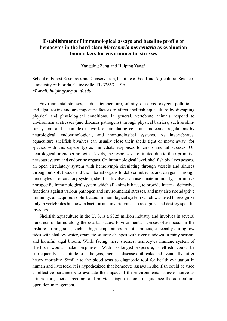# **Establishment of immunological assays and baseline profile of hemocytes in the hard clam** *Mercenaria mercenaria* **as evaluation biomarkers for environmental stresses**

Yangqing Zeng and Huiping Yang\*

School of Forest Resources and Conservation, Institute of Food and Agricultural Sciences, University of Florida, Gainesville, FL 32653, USA *\*E-mail: huipingyang at ufl.edu* 

Environmental stresses, such as temperature, salinity, dissolved oxygen, pollutions, and algal toxins and are important factors to affect shellfish aquaculture by disrupting physical and physiological conditions. In general, vertebrate animals respond to environmental stresses (and diseases pathogens) through physical barriers, such as skinfur system, and a complex network of circulating cells and molecular regulations by neurological, endocrinological, and immunological systems. As invertebrates, aquaculture shellfish bivalves can usually close their shells tight or move away (for species with this capability) as immediate responses to environmental stresses. On neurological or endocrinological levels, the responses are limited due to their primitive nervous system and endocrine organs. On immunological level, shellfish bivalves possess an open circulatory system with hemolymph circulating through vessels and sinuses throughout soft tissues and the internal organs to deliver nutrients and oxygen. Through hemocytes in circulatory system, shellfish bivalves can use innate immunity, a primitive nonspecific immunological system which all animals have, to provide internal defensive functions against various pathogen and environmental stresses, and may also use adaptive immunity, an acquired sophisticated immunological system which was used to recognize only in vertebrates but now in bacteria and invertebrates, to recognize and destroy specific invaders.

Shellfish aquaculture in the U. S. is a \$325 million industry and involves in several hundreds of farms along the coastal states. Environmental stresses often occur in the inshore farming sites, such as high temperatures in hot summers, especially during low tides with shallow water, dramatic salinity changes with river rundown in rainy season, and harmful algal bloom. While facing these stresses, hemocytes immune system of shellfish would make responses. With prolonged exposure, shellfish could be subsequently susceptible to pathogens, increase disease outbreaks and eventually suffer heavy mortality. Similar to the blood tests as diagnostic tool for health evaluation in human and livestock, it is hypothesized that hemocyte assays in shellfish could be used as effective parameters to evaluate the impact of the environmental stresses, serve as criteria for genetic breeding, and provide diagnosis tools to guidance the aquaculture operation management.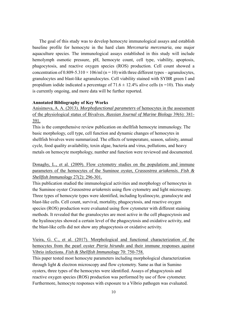The goal of this study was to develop hemocyte immunological assays and establish baseline profile for hemocyte in the hard clam *Mercenaria mercenaria*, one major aquaculture species. The immunological assays established in this study will include hemolymph osmotic pressure, pH, hemocyte count, cell type, viability, apoptosis, phagocytosis, and reactive oxygen species (ROS) production. Cell count showed a concentration of 0.809-5.310  $\times$  106/ml (n = 10) with three different types – agranulocytes, granulocytes and blast-like agranulocytes. Cell viability stained with SYBR green I and propidium iodide indicated a percentage of  $71.6 \pm 12.4\%$  alive cells (n =10). This study is currently ongoing, and more data will be further reported.

#### **Annotated Bibliography of Key Works**

Anisimova, A. A. (2013). *Morphofunctional parameters* of hemocytes in the assessment of the physiological status of Bivalves. *Russian Journal of Marine Biology* 39(6): 381- 391.

This is the comprehensive review publication on shellfish hemocyte immunology. The basic morphology, cell type, cell function and dynamic changes of hemocytes in shellfish bivalves were summarized. The effects of temperature, season, salinity, annual cycle, food quality availability, toxin algae, bacteria and virus, pollutions, and heavy metals on hemocyte morphology, number and function were reviewed and documented.

Donaghy, L., et al. (2009). Flow cytometry studies on the populations and immune parameters of the hemocytes of the Suminoe oyster, *Crassostrea ariakensis*. *Fish & Shellfish Immunology* 27(2): 296-301.

This publication studied the immunological activities and morphology of hemocytes in the Suminoe oyster *Crassostrea ariakensis* using flow cytometry and light microscopy. Three types of hemocyte types were identified, including hyalinocyte, granulocyte and blast-like cells. Cell count, survival, mortality, phagocytosis, and reactive oxygen species (ROS) production were evaluated using flow cytometer with different staining methods. It revealed that the granulocytes are most active in the cell phagocytosis and the hyalinocytes showed a certain level of the phagocytosis and oxidative activity, and the blast-like cells did not show any phagocytosis or oxidative activity.

Vieira, G. C., et al. (2017). Morphological and functional characterization of the hemocytes from the pearl oyster *Pteria hirundo* and their immune responses against Vibrio infections. *Fish & Shellfish Immunology* 70: 750-758.

This paper tested most hemocyte parameters including morphological characterization through light & electron microscopy and flow cytometry. Same as that in Sumino oysters, three types of the hemocytes were identified. Assays of phagocytosis and reactive oxygen species (ROS) production was performed by use of flow cytometer. Furthermore, hemocyte responses with exposure to a Vibrio pathogen was evaluated.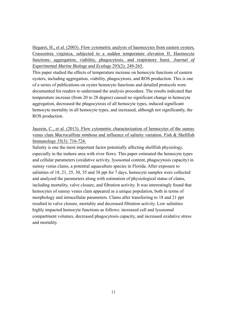Hegaret, H., et al. (2003). Flow cytometric analysis of haemocytes from eastern oysters, Crassostrea virginica, subjected to a sudden temperature elevation II. Haemocyte functions: aggregation, viability, phagocytosis, and respiratory burst. *Journal of Experimental Marine Biology and Ecology* 293(2): 249-265.

This paper studied the effects of temperature increase on hemocyte functions of eastern oysters, including aggregation, viability, phagocytosis, and ROS production. This is one of a series of publications on oyster hemocyte functions and detailed protocols were documented for readers to understand the analysis procedure. The results indicated that temperature increase (from 20 to 28 degree) caused no significant change in hemocyte aggregation, decreased the phagocytosis of all hemocyte types, induced significant hemocyte mortality in all hemocyte types, and increased, although not significantly, the ROS production.

Jauzein, C., et al. (2013). Flow cytometric characterization of hemocytes of the sunray venus clam *Macrocallista nimbosa* and influence of salinity variation. Fish & Shellfish Immunology 35(3): 716-724.

Salinity is one the most important factor potentially affecting shellfish physiology, especially in the inshore area with river flows. This paper estimated the hemocyte types and cellular parameters (oxidative activity, lysosomal content, phagocytosis capacity) in sunray venus clams, a potential aquaculture species in Florida. After exposure to salinities of 18, 21, 25, 30, 35 and 38 ppt for 7 days, hemocyte samples were collected and analyzed the parameters along with estimation of physiological status of clams, including mortality, valve closure, and filtration activity. It was interestingly found that hemocytes of sunray venus clam appeared as a unique population, both in terms of morphology and intracellular parameters. Clams after transferring to 18 and 21 ppt resulted in valve closure, mortality and decreased filtration activity. Low salinities highly impacted hemocyte functions as follows: increased cell and lysosomal compartment volumes, decreased phagocytosis capacity, and increased oxidative stress and mortality.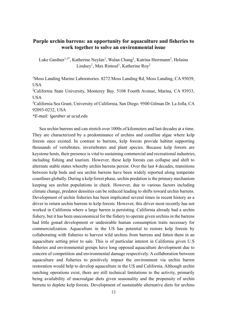### **Purple urchin barrens: an opportunity for aquaculture and fisheries to work together to solve an environmental issue**

Luke Gardner<sup>1,3\*</sup>, Katherine Neylan<sup>1</sup>, Walan Chang<sup>2</sup>, Katrina Herrmann<sup>2</sup>, Helaina Lindsey<sup>1</sup>, Max Rintoul<sup>1</sup>, Katherine Roy<sup>2</sup>

<sup>1</sup>Moss Landing Marine Laboratories. 8272 Moss Landing Rd, Moss Landing, CA 95039, USA <sup>2</sup>California State University, Monterey Bay. 5108 Fourth Avenue, Marina, CA 93933, USA 3 California Sea Grant, University of California, San Diego. 9500 Gilman Dr. La Jolla, CA 92093-0232, USA

*\*E-mail: lgardner at ucsd.edu* 

Sea urchin barrens and can stretch over 1000s of kilometers and last decades at a time. They are characterized by a predominance of urchins and coralline algae where kelp forests once existed. In contrast to barrens, kelp forests provide habitat supporting thousands of vertebrates, invertebrates and plant species. Because kelp forests are keystone hosts, their presence is vital to sustaining commercial and recreational industries, including fishing and tourism. However, these kelp forests can collapse and shift to alternate stable states whereby urchin barrens persist. Over the last 4 decades, transitions between kelp beds and sea urchin barrens have been widely reported along temperate coastlines globally. During a kelp forest phase, urchin predation is the primary mechanism keeping sea urchin populations in check. However, due to various factors including climate change, predator densities can be reduced leading to shifts toward urchin barrens. Development of urchin fisheries has been implicated several times in recent history as a driver to return urchin barrens to kelp forests. However, this driver most recently has not worked in California where a large barren is persisting. California already had a urchin fishery, but it has been uneconomical for the fishery to operate given urchins in the barrens had little gonad development or undesirable human consumption traits necessary for commercialization. Aquaculture in the US has potential to restore kelp forests by collaborating with fisheries to harvest wild urchins from barrens and fatten them in an aquaculture setting prior to sale. This is of particular interest in California given U.S fisheries and environmental groups have long opposed aquaculture development due to concern of competition and environmental damage respectively. A collaboration between aquaculture and fisheries to positively impact the environment via urchin barren restoration would help to develop aquaculture in the US and California. Although urchin ranching operations exist, there are still technical limitations to the activity, primarily being availability of macroalgae diets given seasonality and the propensity of urchin barrens to deplete kelp forests. Development of sustainable alternative diets for urchins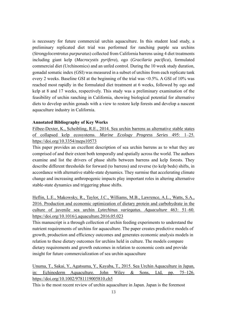is necessary for future commercial urchin aquaculture. In this student lead study, a preliminary replicated diet trial was performed for ranching purple sea urchins (*Strongylocentrotus purpuratus*) collected from California barrens using 4 diet treatments including giant kelp (*Macrocystis pyrifera*), ogo (*Gracilaria pacifica*), formulated commercial diet (Urchinomics) and an unfed control. During the 10 week study duration, gonadal somatic index (GSI) was measured in a subset of urchins from each replicate tank every 2 weeks. Baseline GSI at the beginning of the trial was <0.5%. A GSI of 10% was reached most rapidly in the formulated diet treatment at 6 weeks, followed by ogo and kelp at 8 and 17 weeks, respectively. This study was a preliminary examination of the feasibility of urchin ranching in California, showing biological potential for alternative diets to develop urchin gonads with a view to restore kelp forests and develop a nascent aquaculture industry in California.

### **Annotated Bibliography of Key Works**

Filbee-Dexter, K., Scheibling, R.E., 2014. Sea urchin barrens as alternative stable states of collapsed kelp ecosystems. *Marine Ecology Progress Series* 495: 1–25. https://doi.org/10.3354/meps10573

This paper provides an excellent description of sea urchin barrens as to what they are comprised of and their extent both temporally and spatially across the world. The authors examine and list the drivers of phase shifts between barrens and kelp forests. They describe different thresholds for forward (to barrens) and reverse (to kelp beds) shifts, in accordance with alternative stable-state dynamics. They surmise that accelerating climate change and increasing anthropogenic impacts play important roles in altering alternative stable-state dynamics and triggering phase shifts.

Heflin, L.E., Makowsky, R., Taylor, J.C., Williams, M.B., Lawrence, A.L., Watts, S.A., 2016. Production and economic optimization of dietary protein and carbohydrate in the culture of juvenile sea urchin *Lytechinus variegatus*. *Aquaculture* 463: 51–60. https://doi.org/10.1016/j.aquaculture.2016.05.023

This manuscript is a through collection of urchin feeding experiments to understand the nutrient requirements of urchins for aquaculture. The paper creates predictive models of growth, production and efficiency outcomes and generates economic analysis models in relation to these dietary outcomes for urchins held in culture. The models compare dietary requirements and growth outcomes in relation to economic costs and provide insight for future commercialization of sea urchin aquaculture

Unuma, T., Sakai, Y., Agatsuma, Y., Kayaba, T., 2015. Sea Urchin Aquaculture in Japan, in: Echinoderm Aquaculture. John Wiley & Sons, Ltd, pp. 75–126. https://doi.org/10.1002/9781119005810.ch5

This is the most recent review of urchin aquaculture in Japan. Japan is the foremost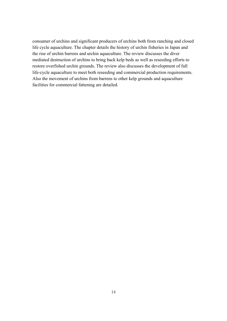consumer of urchins and significant producers of urchins both from ranching and closed life cycle aquaculture. The chapter details the history of urchin fisheries in Japan and the rise of urchin barrens and urchin aquaculture. The review discusses the diver mediated destruction of urchins to bring back kelp beds as well as reseeding efforts to restore overfished urchin grounds. The review also discusses the development of full life-cycle aquaculture to meet both reseeding and commercial production requirements. Also the movement of urchins from barrens to other kelp grounds and aquaculture facilities for commercial fattening are detailed.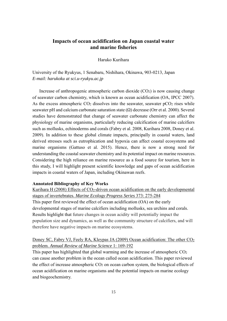### **Impacts of ocean acidification on Japan coastal water and marine fisheries**

Haruko Kurihara

University of the Ryukyus, 1 Senabaru, Nishihara, Okinawa, 903-0213, Japan *E-mail: harukoku at sci.u-ryukyu.ac.jp* 

Increase of anthropogenic atmospheric carbon dioxide  $(CO<sub>2</sub>)$  is now causing change of seawater carbon chemistry, which is known as ocean acidification (OA, IPCC 2007). As the excess atmospheric  $CO<sub>2</sub>$  dissolves into the seawater, seawater  $pCO<sub>2</sub>$  rises while seawater pH and calcium carbonate saturation state  $(\Omega)$  decrease (Orr et al. 2000). Several studies have demonstrated that change of seawater carbonate chemistry can affect the physiology of marine organisms, particularly reducing calcification of marine calcifiers such as mollusks, echinoderms and corals (Fabry et al. 2008, Kurihara 2008, Doney et al. 2009). In addition to these global climate impacts, principally in coastal waters, land derived stresses such as eutrophication and hypoxia can affect coastal ecosystems and marine organisms (Gattuso et al. 2015). Hence, there is now a strong need for understanding the coastal seawater chemistry and its potential impact on marine resources. Considering the high reliance on marine resource as a food source for tourism, here in this study, I will highlight present scientific knowledge and gaps of ocean acidification impacts in coastal waters of Japan, including Okinawan reefs.

#### **Annotated Bibliography of Key Works**

Kurihara H (2008) Effects of  $CO<sub>2</sub>$ -driven ocean acidification on the early developmental stages of invertebrates. *Marine Ecology Progress Series* 373: 275-284 This paper first reviewed the effect of ocean acidification (OA) on the early developmental stages of marine calcifiers including mollusks, sea urchins and corals. Results highlight that future changes in ocean acidity will potentially impact the population size and dynamics, as well as the community structure of calcifiers, and will therefore have negative impacts on marine ecosystems.

### Doney SC, Fabry VJ, Feely RA, Kleypas JA (2009) Ocean acidification: The other CO<sub>2</sub> problem. *Annual Review of Marine Science* 1: 169-192

This paper has highlighted that global warming and the increase of atmospheric CO<sub>2</sub> can cause another problem in the ocean called ocean acidification. This paper reviewed the effect of increase atmospheric  $CO<sub>2</sub>$  on ocean carbon system, the biological effects of ocean acidification on marine organisms and the potential impacts on marine ecology and biogeochemistry.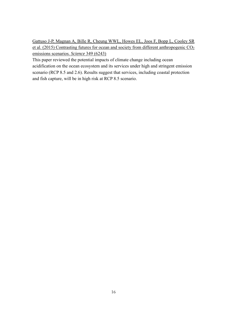Gattuso J-P, Magnan A, Bille R, Cheung WWL, Howes EL, Joos F, Bopp L, Cooley SR et al. (2015) Contrasting futures for ocean and society from different anthropogenic CO<sub>2</sub> emissions scenarios. *Science* 349 (6243)

This paper reviewed the potential impacts of climate change including ocean acidification on the ocean ecosystem and its services under high and stringent emission scenario (RCP 8.5 and 2.6). Results suggest that services, including coastal protection and fish capture, will be in high risk at RCP 8.5 scenario.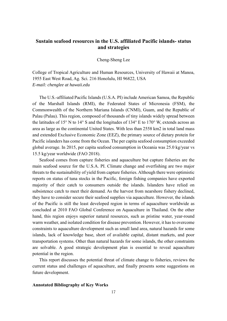## **Sustain seafood resources in the U.S. affiliated Pacific islands- status and strategies**

Cheng-Sheng Lee

College of Tropical Agriculture and Human Resources, University of Hawaii at Manoa, 1955 East West Road, Ag. Sci. 216 Honolulu, HI 96822, USA *E-mail: chenglee at hawaii.edu* 

The U.S.-affiliated Pacific Islands (U.S.A. PI) include American Samoa, the Republic of the Marshall Islands (RMI), the Federated States of Micronesia (FSM), the Commonwealth of the Northern Mariana Islands (CNMl), Guam, and the Republic of Palau (Palau). This region, composed of thousands of tiny islands widely spread between the latitudes of 15 $\degree$  N to 14 $\degree$  S and the longitudes of 134 $\degree$  E to 170 $\degree$  W, extends across an area as large as the continental United States. With less than 2558 km2 in total land mass and extended Exclusive Economic Zone (EEZ), the primary source of dietary protein for Pacific islanders has come from the Ocean. The per capita seafood consumption exceeded global average. In 2015, per capita seafood consumption in Oceania was 25.0 kg/year vs 15.5 kg/year worldwide (FAO 2018).

Seafood comes from capture fisheries and aquaculture but capture fisheries are the main seafood source for the U.S.A. PI. Climate change and overfishing are two major threats to the sustainability of yield from capture fisheries. Although there were optimistic reports on status of tuna stocks in the Pacific, foreign fishing companies have exported majority of their catch to consumers outside the islands. Islanders have relied on subsistence catch to meet their demand. As the harvest from nearshore fishery declined, they have to consider secure their seafood supplies via aquaculture. However, the islands of the Pacific is still the least developed region in terms of aquaculture worldwide as concluded at 2010 FAO Global Conference on Aquaculture in Thailand. On the other hand, this region enjoys superior natural resources, such as pristine water, year-round warm weather, and isolated condition for disease prevention. However, it has to overcome constraints to aquaculture development such as small land area, natural hazards for some islands, lack of knowledge base, short of available capital, distant markets, and poor transportation systems. Other than natural hazards for some islands, the other constraints are solvable. A good strategic development plan is essential to reveal aquaculture potential in the region.

This report discusses the potential threat of climate change to fisheries, reviews the current status and challenges of aquaculture, and finally presents some suggestions on future development.

#### **Annotated Bibliography of Key Works**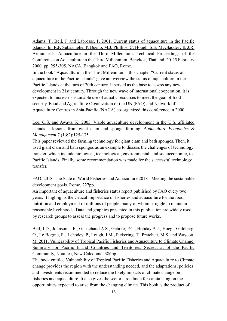Adams, T., Bell, J. and Labrosse, P. 2001. Current status of aquaculture in the Pacific Islands. In: R.P. Subasinghe, P. Bueno, M.J. Phillips, C. Hough, S.E. McGladdery & J.R. Arthur, eds. Aquaculture in the Third Millennium. Technical Proceedings of the Conference on Aquaculture in the Third Millennium, Bangkok, Thailand, 20-25 February 2000. pp. 295-305. NACA, Bangkok and FAO, Rome.

In the book "Aquaculture in the Third Millennium", this chapter "Current status of aquaculture in the Pacific Islands" gave an overview the status of aquaculture in the Pacific Islands at the turn of 20th century. It served as the base to assess any new development in 21st century. Through the new wave of international cooperation, it is expected to increase sustainable use of aquatic resources to meet the goal of food security. Food and Agriculture Organization of the UN (FAO) and Network of Aquaculture Centres in Asia-Pacific (NACA) co-organized this conference in 2000.

Lee, C.S. and Awaya, K. 2003. Viable aquaculture development in the U.S. affiliated islands – lessons from giant clam and sponge farming. *Aquaculture Economics & Management* 7 (1&2):125-135.

This paper reviewed the farming technology for giant clam and bath sponges. Then, it used giant clam and bath sponges as an example to discuss the challenges of technology transfer, which include biological, technological, environmental, and socioeconomic, to Pacific Islands. Finally, some recommendation was made for the successful technology transfer.

## FAO. 2018. The State of World Fisheries and Aquaculture 2018 - Meeting the sustainable development goals. Rome. 227pp.

An important of aquaculture and fisheries status report published by FAO every two years. It highlights the critical importance of fisheries and aquaculture for the food, nutrition and employment of millions of people, many of whom struggle to maintain reasonable livelihoods. Data and graphics presented in this publication are widely used by research groups to assess the progress and to propose future works.

Bell, J.D., Johnson, J.E., Ganachaud A.S., Gehrke, P.C., Hobday A.J., Hoegh-Guldberg, O., Le Borgne, R., Lehodey, P., Lough, J.M., Pickering, T., Pratchett, M.S. and Waycott, M. 2011. Vulnerability of Tropical Pacific Fisheries and Aquaculture to Climate Change: Summary for Pacific Island Countries and Territories. Secretariat of the Pacific Community, Noumea, New Caledonia. 386pp.

The book entitled Vulnerability of Tropical Pacific Fisheries and Aquaculture to Climate change provides the region with the understanding needed, and the adaptations, policies and investments recommended to reduce the likely impacts of climate change on fisheries and aquaculture. It also gives the sector a roadmap for capitalising on the opportunities expected to arise from the changing climate. This book is the product of a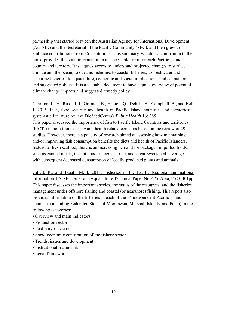partnership that started between the Australian Agency for International Development (AusAID) and the Secretariat of the Pacific Community (SPC), and then grew to embrace contributions from 36 institutions. This summary, which is a companion to the book, provides this vital information in an accessible form for each Pacific Island country and territory. It is a quick access to understand projected changes to surface climate and the ocean, to oceanic fisheries, to coastal fisheries, to freshwater and estuarine fisheries, to aquaculture, economic and social implications, and adaptations and suggested policies. It is a valuable document to have a quick overview of potential climate change impacts and suggested remedy policy.

Charlton, K. E., Russell, J., Gorman, E., Hanich, Q., Delisle, A., Campbell, B., and Bell, J. 2016. Fish, food security and health in Pacific Island countries and territories: a systematic literature review. BioMedCentrak *Public Health* 16: 285 This paper discussed the importance of fish to Pacific Island Countries and territories (PICTs) in both food security and health related concerns based on the review of 29 studies. However, there is a paucity of research aimed at assessing how maintaining and/or improving fish consumption benefits the diets and health of Pacific Islanders. Instead of fresh seafood, there is an increasing demand for packaged imported foods, such as canned meats, instant noodles, cereals, rice, and sugar-sweetened beverages, with subsequent decreased consumption of locally-produced plants and animals.

Gillett, R., and Tauati, M. I. 2018. Fisheries in the Pacific Regional and national information. FAO Fisheries and Aquaculture Technical Paper No. 625. Apia, FAO. 401pp. This paper discusses the important species, the status of the resources, and the fisheries management under offshore fishing and coastal (or nearshore) fishing. This report also provides information on the fisheries in each of the 14 independent Pacific Island countries (including Federated States of Micronesia, Marshall Islands, and Palau) in the following categories:

- Overview and main indicators
- Production sector
- Post-harvest sector
- Socio-economic contribution of the fishery sector
- Trends, issues and development
- Institutional framework
- Legal framework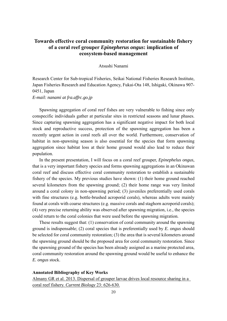# **Towards effective coral community restoration for sustainable fishery of a coral reef grouper** *Epinepherus ongus***: implication of ecosystem-based management**

#### Atsushi Nanami

Research Center for Sub-tropical Fisheries, Seikai National Fisheries Research Institute, Japan Fisheries Research and Education Agency, Fukai-Ota 148, Ishigaki, Okinawa 907- 0451, Japan

### *E-mail: nanami at fra.affrc.go.jp*

Spawning aggregation of coral reef fishes are very vulnerable to fishing since only conspecific individuals gather at particular sites in restricted seasons and lunar phases. Since capturing spawning aggregation has a significant negative impact for both local stock and reproductive success, protection of the spawning aggregation has been a recently urgent action in coral reefs all over the world. Furthermore, conservation of habitat in non-spawning season is also essential for the species that form spawning aggregation since habitat loss at their home ground would also lead to reduce their population.

In the present presentation, I will focus on a coral reef grouper, *Epinephelus ongus,* that is a very important fishery species and forms spawning aggregations in an Okinawan coral reef and discuss effective coral community restoration to establish a sustainable fishery of the species. My previous studies have shown: (1) their home ground reached several kilometers from the spawning ground; (2) their home range was very limited around a coral colony in non-spawning period; (3) juveniles preferentially used corals with fine structures (e.g. bottle-brushed acroporid corals), whereas adults were mainly found at corals with coarse structures (e.g. massive corals and staghorn acroporid corals); (4) very precise returning ability was observed after spawning migration, i.e., the species could return to the coral colonies that were used before the spawning migration.

These results suggest that: (1) conservation of coral community around the spawning ground is indispensable; (2) coral species that is preferentially used by *E. ongus* should be selected for coral community restoration; (3) the area that is several kilometers around the spawning ground should be the proposed area for coral community restoration. Since the spawning ground of the species has been already assigned as a marine protected area, coral community restoration around the spawning ground would be useful to enhance the *E. ongus* stock.

**Annotated Bibliography of Key Works** 

Almany GR et al. 2013. Dispersal of grouper larvae drives local resource sharing in a coral reef fishery. *Current Biology* 23: 626-630.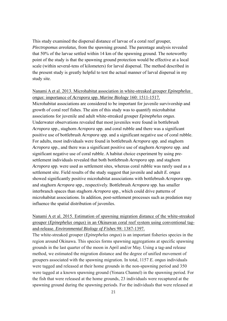This study examined the dispersal distance of larvae of a coral reef grouper, *Plectropomus areolatus,* from the spawning ground. The parentage analysis revealed that 50% of the larvae settled within 14 km of the spawning ground. The noteworthy point of the study is that the spawning ground protection would be effective at a local scale (within several-tens of kilometers) for larval dispersal. The method described in the present study is greatly helpful to test the actual manner of larval dispersal in my study site.

### Nanami A et al. 2013. Microhabitat association in white-streaked grouper *Epinephelus ongus*: importance of *Acropora* spp. *Marine Biology* 160: 1511-1517.

Microhabitat associations are considered to be important for juvenile survivorship and growth of coral reef fishes. The aim of this study was to quantify microhabitat associations for juvenile and adult white-streaked grouper *Epinephelus ongus*. Underwater observations revealed that most juveniles were found in bottlebrush *Acropora* spp., staghorn *Acropora* spp. and coral rubble and there was a significant positive use of bottlebrush *Acropora* spp. and a significant negative use of coral rubble. For adults, most individuals were found in bottlebrush *Acropora* spp. and staghorn *Acropora* spp., and there was a significant positive use of staghorn *Acropora* spp. and significant negative use of coral rubble. A habitat choice experiment by using presettlement individuals revealed that both bottlebrush *Acropora* spp. and staghorn *Acropora* spp. were used as settlement sites, whereas coral rubble was rarely used as a settlement site. Field results of the study suggest that juvenile and adult *E. ongus*  showed significantly positive microhabitat associations with bottlebrush *Acropora* spp. and staghorn *Acropora* spp., respectively. Bottlebrush *Acropora* spp. has smaller interbranch spaces than staghorn *Acropora* spp., which could drive patterns of microhabitat associations. In addition, post-settlement processes such as predation may influence the spatial distribution of juveniles.

### Nanami A et al. 2015. Estimation of spawning migration distance of the white-streaked grouper (*Epinephelus ongus*) in an Okinawan coral reef system using conventional tagand-release. *Environmental Biology of Fishes* 98: 1387-1397.

The white-streaked grouper (*Epinephelus ongus*) is an important fisheries species in the region around Okinawa. This species forms spawning aggregations at specific spawning grounds in the last quarter of the moon in April and/or May. Using a tag-and release method, we estimated the migration distance and the degree of unified movement of groupers associated with the spawning migration. In total, 1157 *E. ongus* individuals were tagged and released at their home grounds in the non-spawning period and 350 were tagged at a known spawning ground (Yonara Channel) in the spawning period. For the fish that were released at the home grounds, 23 individuals were recaptured at the spawning ground during the spawning periods. For the individuals that were released at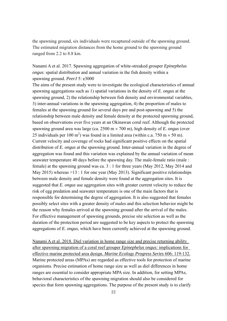the spawning ground, six individuals were recaptured outside of the spawning ground. The estimated migration distances from the home ground to the spawning ground ranged from 2.2 to 8.8 km.

Nanami A et al. 2017. Spawning aggregation of white-streaked grouper *Epinephelus ongus*: spatial distribution and annual variation in the fish density within a spawning ground. *PeerJ* 5: e3000

The aims of the present study were to investigate the ecological characteristics of annual spawning aggregations such as 1) spatial variations in the density of *E. ongus* at the spawning ground, 2) the relationship between fish density and environmental variables, 3) inter-annual variations in the spawning aggregation, 4) the proportion of males to females at the spawning ground for several days pre and post-spawning and 5) the relationship between male density and female density at the protected spawning ground, based on observations over five years at an Okinawan coral reef. Although the protected spawning ground area was large (ca.  $2500 \text{ m} \times 700 \text{ m}$ ), high density of *E. ongus* (over 25 individuals per 100 m<sup>2</sup>) was found in a limited area (within c.a. 750 m  $\times$  50 m). Current velocity and coverage of rocks had significant positive effects on the spatial distribution of *E. ongus* at the spawning ground. Inter-annual variation in the degree of aggregation was found and this variation was explained by the annual variation of mean seawater temperature 40 days before the spawning day. The male-female ratio (male : female) at the spawning ground was ca. 3 : 1 for three years (May 2012, May 2014 and May 2015) whereas >13 : 1 for one year (May 2013). Significant positive relationships between male density and female density were found at the aggregation sites. It is suggested that *E. ongus* use aggregation sites with greater current velocity to reduce the risk of egg predation and seawater temperature is one of the main factors that is responsible for determining the degree of aggregation. It is also suggested that females possibly select sites with a greater density of males and this selection behavior might be the reason why females arrived at the spawning ground after the arrival of the males. For effective management of spawning grounds, precise site selection as well as the duration of the protection period are suggested to be key aspects to protect the spawning aggregations of *E. ongus*, which have been currently achieved at the spawning ground.

Nanami A et al. 2018. Diel variation in home range size and precise returning ability after spawning migration of a coral reef grouper *Epinephelus ongus:* implications for effective marine protected area design. *Marine Ecology Progress Series* 606: 119-132. Marine protected areas (MPAs) are regarded as effective tools for protection of marine organisms. Precise estimation of home range size as well as diel differences in home ranges are essential to consider appropriate MPA size. In addition, for setting MPAs, behavioral characteristics of the spawning migration should also be considered for species that form spawning aggregations. The purpose of the present study is to clarify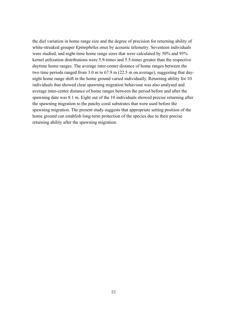the diel variation in home range size and the degree of precision for returning ability of white-streaked grouper *Epinephelus onus* by acoustic telemetry. Seventeen individuals were studied, and night-time home range sizes that were calculated by 50% and 95% kernel utilization distributions were 5.9-times and 5.5-times greater than the respective daytime home ranges. The average inter-center distance of home ranges between the two time periods ranged from 3.0 m to 67.9 m (22.5 m on average), suggesting that daynight home range shift in the home ground varied individually. Returning ability for 10 individuals that showed clear spawning migration behaviour was also analysed and average inter-center distance of home ranges between the period before and after the spawning date was 8.1 m. Eight out of the 10 individuals showed precise returning after the spawning migration to the patchy coral substrates that were used before the spawning migration. The present study suggests that appropriate setting position of the home ground can establish long-term protection of the species due to their precise returning ability after the spawning migration.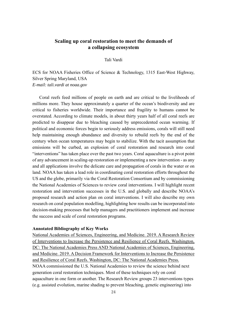### **Scaling up coral restoration to meet the demands of a collapsing ecosystem**

Tali Vardi

ECS for NOAA Fisheries Office of Science & Technology, 1315 East-West Highway, Silver Spring Maryland, USA *E-mail: tali.vardi at noaa.gov* 

Coral reefs feed millions of people on earth and are critical to the livelihoods of millions more. They house approximately a quarter of the ocean's biodiversity and are critical to fisheries worldwide. Their importance and fragility to humans cannot be overstated. According to climate models, in about thirty years half of all coral reefs are predicted to disappear due to bleaching caused by unprecedented ocean warming. If political and economic forces begin to seriously address emissions, corals will still need help maintaining enough abundance and diversity to rebuild reefs by the end of the century when ocean temperatures may begin to stabilize. With the tacit assumption that emissions will be curbed, an explosion of coral restoration and research into coral "interventions" has taken place over the past two years. Coral aquaculture is a pivot point of any advancement in scaling-up restoration or implementing a new intervention - as any and all applications involve the delicate care and propagation of corals in the water or on land. NOAA has taken a lead role in coordinating coral restoration efforts throughout the US and the globe, primarily via the Coral Restoration Consortium and by commissioning the National Academies of Sciences to review coral interventions. I will highlight recent restoration and intervention successes in the U.S. and globally and describe NOAA's proposed research and action plan on coral interventions. I will also describe my own research on coral population modelling, highlighting how results can be incorporated into decision-making processes that help managers and practitioners implement and increase the success and scale of coral restoration programs.

#### **Annotated Bibliography of Key Works**

National Academies of Sciences, Engineering, and Medicine. 2019. A Research Review of Interventions to Increase the Persistence and Resilience of Coral Reefs. Washington, DC: The National Academies Press AND National Academies of Sciences, Engineering, and Medicine. 2019. A Decision Framework for Interventions to Increase the Persistence and Resilience of Coral Reefs. Washington, DC: The National Academies Press. NOAA commissioned the U.S. National Academies to review the science behind next generation coral restoration techniques. Most of these techniques rely on coral aquaculture in one form or another. The Research Review groups 23 interventions types (e.g. assisted evolution, marine shading to prevent bleaching, genetic engineering) into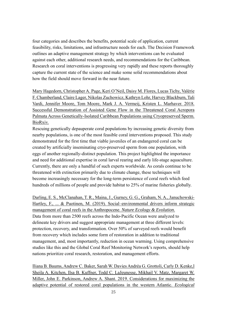four categories and describes the benefits, potential scale of application, current feasibility, risks, limitations, and infrastructure needs for each. The Decision Framework outlines an adaptive management strategy by which interventions can be evaluated against each other, additional research needs, and recommendations for the Caribbean. Research on coral interventions is progressing very rapidly and these reports thoroughly capture the current state of the science and make some solid recommendations about how the field should move forward in the near future.

Mary Hagedorn, Christopher A. Page, Keri O'Neil, Daisy M. Flores, Lucas Tichy, Valérie F. Chamberland, Claire Lager, Nikolas Zuchowicz, Kathryn Lohr, Harvey Blackburn, Tali Vardi, Jennifer Moore, Tom Moore, Mark J. A. Vermeij, Kristen L. Marhaver. 2018. Successful Demonstration of Assisted Gene Flow in the Threatened Coral Acropora Palmata Across Genetically-Isolated Caribbean Populations using Cryopreserved Sperm. BioRxiv.

Rescuing genetically depauperate coral populations by increasing genetic diversity from nearby populations, is one of the most feasible coral interventions proposed. This study demonstrated for the first time that viable juveniles of an endangered coral can be created by artificially inseminating cryo-preserved sperm from one population, with eggs of another regionally-distinct population. This project highlighted the importance and need for additional expertise in coral larval rearing and early life-stage aquaculture. Currently, there are only a handful of such experts worldwide. As corals continue to be threatened with extinction primarily due to climate change, these techniques will become increasingly necessary for the long-term persistence of coral reefs which feed hundreds of millions of people and provide habitat to 25% of marine fisheries globally.

Darling, E. S., McClanahan, T. R., Maina, J., Gurney, G. G., Graham, N. A., Januchowski-Hartley, F., ... & Puotinen, M. (2019). Social–environmental drivers inform strategic management of coral reefs in the Anthropocene. *Nature Ecology & Evolution*. Data from more than 2500 reefs across the Indo-Pacific Ocean were analyzed to delineate key drivers and suggest appropriate management at three different levels: protection, recovery, and transformation. Over 50% of surveyed reefs would benefit from recovery which includes some form of restoration in addition to traditional management, and, most importantly, reduction in ocean warming. Using comprehensive studies like this and the Global Coral Reef Monitoring Network's reports, should help nations prioritize coral research, restoration, and management efforts.

Iliana B. Baums, Andrew C. Baker, Sarah W. Davies Andréa G. Grottoli, Carly D. Kenke,l Sheila A. Kitchen, Ilsa B. Kuffner, Todd C. LaJeunesse, Mikhail V. Matz, Margaret W. Miller, John E. Parkinson, Andrew A. Shant. 2019. Considerations for maximizing the adaptive potential of restored coral populations in the western Atlantic. *Ecological*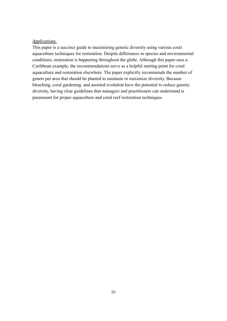### *Applications*.

This paper is a succinct guide to maximizing genetic diversity using various coral aquaculture techniques for restoration. Despite differences in species and environmental conditions, restoration is happening throughout the globe. Although this paper uses a Caribbean example, the recommendations serve as a helpful starting point for coral aquaculture and restoration elsewhere. The paper explicitly recommends the number of genets per area that should be planted to maintain or maximize diversity. Because bleaching, coral gardening, and assisted evolution have the potential to reduce genetic diversity, having clear guidelines that managers and practitioners can understand is paramount for proper aquaculture and coral reef restoration techniques.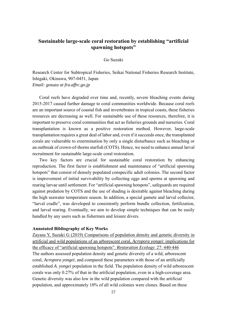# **Sustainable large-scale coral restoration by establishing "artificial spawning hotspots"**

Go Suzuki

Research Center for Subtropical Fisheries, Seikai National Fisheries Research Institute, Ishigaki, Okinawa, 907-0451, Japan *Email: gosuzu at fra.affrc.go.jp* 

Coral reefs have degraded over time and, recently, severe bleaching events during 2015-2017 caused further damage to coral communities worldwide. Because coral reefs are an important source of coastal fish and invertebrates in tropical coasts, these fisheries resources are decreasing as well. For sustainable use of these resources, therefore, it is important to preserve coral communities that act as fisheries grounds and nurseries. Coral transplantation is known as a positive restoration method. However, large-scale transplantation requires a great deal of labor and, even if it succeeds once, the transplanted corals are vulnerable to extermination by only a single disturbance such as bleaching or an outbreak of crown-of-thorns starfish (COTS). Hence, we need to enhance annual larval recruitment for sustainable large-scale coral restoration.

Two key factors are crucial for sustainable coral restoration by enhancing reproduction. The first factor is establishment and maintenance of "artificial spawning hotspots" that consist of densely populated conspecific adult colonies. The second factor is improvement of initial survivability by collecting eggs and sperms at spawning and rearing larvae until settlement. For "artificial spawning hotspots", safeguards are required against predation by COTS and the use of shading is desirable against bleaching during the high seawater temperature season. In addition, a special gamete and larval collector, "larval cradle", was developed to consistently perform bundle collection, fertilization, and larval rearing. Eventually, we aim to develop simple techniques that can be easily handled by any users such as fishermen and leisure divers.

#### **Annotated Bibliography of Key Works**

Zayasu Y, Suzuki G (2019) Comparisons of population density and genetic diversity in artificial and wild populations of an arborescent coral, *Acropora yongei*: implications for the efficacy of "artificial spawning hotspots". *Restoration Ecology*: 27: 440-446 The authors assessed population density and genetic diversity of a wild, arborescent coral, *Acropora yongei*, and compared these parameters with those of an artificially established *A. yongei* population in the field. The population density of wild arborescent corals was only 0.27% of that in the artificial population, even in a high-coverage area. Genetic diversity was also low in the wild population compared with the artificial population, and approximately 10% of all wild colonies were clones. Based on these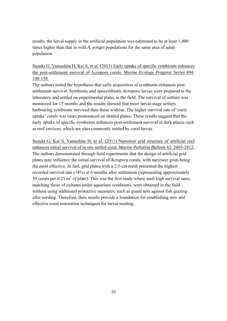results, the larval supply in the artificial population was estimated to be at least 1,400 times higher than that in wild *A. yongei* populations for the same area of adult population.

Suzuki G, Yamashita H, Kai S, et al. (2013) Early uptake of specific symbionts enhances the post-settlement survival of Acropora corals. *Marine Ecology Progress Series* 494: 149-158.

The authors tested the hypothesis that early acquisition of symbionts enhances postsettlement survival. Symbiotic and aposymbiotic *Acropora* larvae were prepared in the laboratory and settled on experimental plates in the field. The survival of settlers was monitored for 15 months and the results showed that more larval-stage settlers harbouring symbionts survived than those without. The higher survival rate of 'early uptake' corals was more pronounced on shaded plates. These results suggest that the early uptake of specific symbionts enhances post-settlement survival in dark places such as reef crevices, which are sites commonly settled by coral larvae.

Suzuki G, Kai S, Yamashita H, et al. (2011) Narrower grid structure of artificial reef enhances initial survival of in situ settled coral. *Marine Pollution Bulletin* 62: 2803-2812. The authors demonstrated through field experiments that the design of artificial grid plates may influence the initial survival of *Acropora* corals, with narrower grids being the most effective. In fact, grid plates with a 2.5-cm mesh presented the highest recorded survival rate (14%) at 6 months after settlement (representing approximately 50 corals per  $0.25 \text{ m}^2$  of plate). This was the first study where such high survival rates, matching those of cultures under aquarium conditions, were obtained in the field without using additional protective measures, such as guard nets against fish grazing after seeding. Therefore, their results provide a foundation for establishing new and effective coral restoration techniques for larval seeding.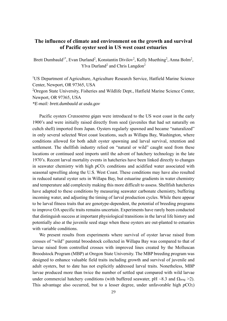### **The influence of climate and environment on the growth and survival of Pacific oyster seed in US west coast estuaries**

Brett Dumbauld<sup>1\*</sup>, Evan Durland<sup>2</sup>, Konstantin Divilov<sup>2</sup>, Kelly Muething<sup>2</sup>, Anna Bolm<sup>2</sup>, Ylva Durland<sup>2</sup> and Chris Langdon<sup>2</sup>

<sup>1</sup>US Department of Agriculture, Agriculture Research Service, Hatfield Marine Science Center, Newport, OR 97365, USA <sup>2</sup>Oregon State University, Fisheries and Wildlife Dept., Hatfield Marine Science Center, Newport, OR 97365, USA *\*E-mail: brett.dumbauld at usda.gov* 

Pacific oysters *Crassostrea gigas* were introduced to the US west coast in the early 1900's and were initially raised directly from seed (juveniles that had set naturally on cultch shell) imported from Japan. Oysters regularly spawned and became "naturalized" in only several selected West coast locations, such as Willapa Bay, Washington, where conditions allowed for both adult oyster spawning and larval survival, retention and settlement. The shellfish industry relied on "natural or wild" caught seed from these locations or continued seed imports until the advent of hatchery technology in the late 1970's. Recent larval mortality events in hatcheries have been linked directly to changes in seawater chemistry with high  $pCO<sub>2</sub>$  conditions and acidified water associated with seasonal upwelling along the U.S. West Coast. These conditions may have also resulted in reduced natural oyster sets in Willapa Bay, but estuarine gradients in water chemistry and temperature add complexity making this more difficult to assess. Shellfish hatcheries have adapted to these conditions by measuring seawater carbonate chemistry, buffering incoming water, and adjusting the timing of larval production cycles. While there appear to be larval fitness traits that are genotype-dependent, the potential of breeding programs to improve OA specific traits remains uncertain. Experiments have rarely been conducted that distinguish success at important physiological transitions in the larval life history and potentially also at the juvenile seed stage when these oysters are out-planted to estuaries with variable conditions.

We present results from experiments where survival of oyster larvae raised from crosses of "wild" parental broodstock collected in Willapa Bay was compared to that of larvae raised from controlled crosses with improved lines created by the Molluscan Broodstock Program (MBP) at Oregon State University. The MBP breeding program was designed to enhance valuable field traits including growth and survival of juvenile and adult oysters, but to date has not explicitly addressed larval traits. Nonetheless, MBP larvae produced more than twice the number of settled spat compared with wild larvae under commercial hatchery conditions (with buffered seawater, pH ~8.3 and  $\Omega_{\text{area}}$  >2). This advantage also occurred, but to a lesser degree, under unfavorable high  $pCO<sub>2</sub>$ )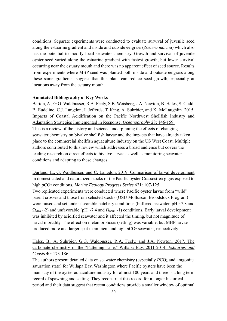conditions. Separate experiments were conducted to evaluate survival of juvenile seed along the estuarine gradient and inside and outside eelgrass (*Zostera marina*) which also has the potential to modify local seawater chemistry. Growth and survival of juvenile oyster seed varied along the estuarine gradient with fastest growth, but lower survival occurring near the estuary mouth and there was no apparent effect of seed source. Results from experiments where MBP seed was planted both inside and outside eelgrass along these same gradients, suggest that this plant can reduce seed growth, especially at locations away from the estuary mouth.

#### **Annotated Bibliography of Key Works**

Barton, A., G.G. Waldbusser, R.A. Feely, S.B. Weisberg, J.A. Newton, B. Hales, S. Cudd, B. Eudeline, C.J. Langdon, I. Jefferds, T. King, A. Suhrbier, and K. McLaughlin. 2015. Impacts of Coastal Acidification on the Pacific Northwest Shellfish Industry and Adaptation Strategies Implemented in Response. *Oceanography* 28: 146-159. This is a review of the history and science underpinning the effects of changing seawater chemistry on bivalve shellfish larvae and the impacts that have already taken place to the commercial shellfish aquaculture industry on the US West Coast. Multiple authors contributed to this review which addresses a broad audience but covers the leading research on direct effects to bivalve larvae as well as monitoring seawater conditions and adapting to these changes.

Durland, E., G. Waldbusser, and C. Langdon. 2019. Comparison of larval development in domesticated and naturalized stocks of the Pacific oyster Crassostrea gigas exposed to high *p*CO2 conditions. *Marine Ecology Progress Series* 621: 107-125. Two replicated experiments were conducted where Pacific oyster larvae from "wild" parent crosses and those from selected stocks (OSU Molluscan Broodstock Program) were raised and set under favorable hatchery conditions (buffered seawater, pH ~7.8 and  $\Omega_{\text{drag}} \sim$ 2) and unfavorable (pH  $\sim$ 7.4 and  $\Omega_{\text{drag}} \sim$ 1) conditions. Early larval development was inhibited by acidified seawater and it affected the timing, but not magnitude of

produced more and larger spat in ambient and high  $pCO_2$  seawater, respectively.

larval mortality. The effect on metamorphosis (setting) was variable, but MBP larvae

Hales, B., A. Suhrbier, G.G. Waldbusser, R.A. Feely, and J.A. Newton. 2017. The carbonate chemistry of the "Fattening Line," Willapa Bay, 2011-2014. *Estuaries and Coasts* 40: 173-186.

The authors present detailed data on seawater chemistry (especially *PCO*<sub>2</sub> and aragonite saturation state) for Willapa Bay, Washington where Pacific oysters have been the mainstay of the oyster aquaculture industry for almost 100 years and there is a long term record of spawning and setting. They reconstruct this record for a longer historical period and their data suggest that recent conditions provide a smaller window of optimal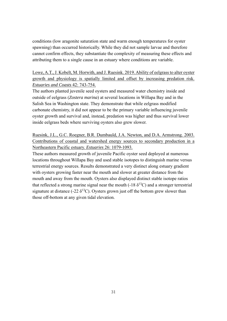conditions (low aragonite saturation state and warm enough temperatures for oyster spawning) than occurred historically. While they did not sample larvae and therefore cannot confirm effects, they substantiate the complexity of measuring these effects and attributing them to a single cause in an estuary where conditions are variable.

Lowe, A.T., J. Kobelt, M. Horwith, and J. Ruesink. 2019. Ability of eelgrass to alter oyster growth and physiology is spatially limited and offset by increasing predation risk. *Estuaries and Coasts* 42: 743-754.

The authors planted juvenile seed oysters and measured water chemistry inside and outside of eelgrass (*Zostera marina*) at several locations in Willapa Bay and in the Salish Sea in Washington state. They demonstrate that while eelgrass modified carbonate chemistry, it did not appear to be the primary variable influencing juvenile oyster growth and survival and, instead, predation was higher and thus survival lower inside eelgrass beds where surviving oysters also grew slower.

Ruesink, J.L., G.C. Roegner, B.R. Dumbauld, J.A. Newton, and D.A. Armstrong. 2003. Contributions of coastal and watershed energy sources to secondary production in a Northeastern Pacific estuary. *Estuaries* 26: 1079-1093.

These authors measured growth of juvenile Pacific oyster seed deployed at numerous locations throughout Willapa Bay and used stable isotopes to distinguish marine versus terrestrial energy sources. Results demonstrated a very distinct along estuary gradient with oysters growing faster near the mouth and slower at greater distance from the mouth and away from the mouth. Oysters also displayed distinct stable isotope ratios that reflected a strong marine signal near the mouth (-18  $\delta^{13}$ C) and a stronger terrestrial signature at distance (-22  $\delta^{13}$ C). Oysters grown just off the bottom grew slower than those off-bottom at any given tidal elevation.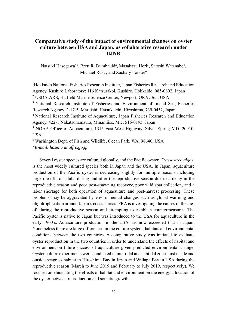# **Comparative study of the impact of environmental changes on oyster culture between USA and Japan, as collaborative research under UJNR**

Natsuki Hasegawa\*<sup>1</sup>, Brett R. Dumbauld<sup>2</sup>, Masakazu Hori<sup>3</sup>, Satoshi Watanabe<sup>4</sup>, Michael Rust<sup>5</sup>, and Zachary Forster<sup>6</sup>

<sup>1</sup>Hokkaido National Fisheries Research Institute, Japan Fisheries Research and Education Agency, Kushiro Laboratory: 116 Katsurakoi, Kushiro, Hokkaido, 085-0802, Japan <sup>2</sup> USDA-ARS, Hatfield Marine Science Center, Newport, OR 97365, USA <sup>3</sup> National Research Institute of Fisheries and Environment of Inland Sea, Fisheries Research Agency, 2-17-5, Maruishi, Hatsukaichi, Hiroshima, 739-0452, Japan 4 National Research Institute of Aquaculture, Japan Fisheries Research and Education Agency, 422-1 Nakatsuhamaura, Minamiise, Mie, 516-0193, Japan <sup>5</sup> NOAA Office of Aquaculture, 1315 East-West Highway, Silver Spring MD. 20910,

USA

6 Washington Dept. of Fish and Wildlife, Ocean Park, WA. 98640, USA *\*E-mail: hasena at affrc.go.jp* 

Several oyster species are cultured globally, and the Pacific oyster, *Crassostrea gigas*, is the most widely cultured species both in Japan and the USA. In Japan, aquaculture production of the Pacific oyster is decreasing slightly for multiple reasons including large die-offs of adults during and after the reproductive season due to a delay in the reproductive season and poor post-spawning recovery, poor wild spat collection, and a labor shortage for both operation of aquaculture and post-harvest processing. These problems may be aggravated by environmental changes such as global warming and oligotrophication around Japan's coastal areas. FRA is investigating the causes of the dieoff during the reproductive season and attempting to establish countermeasures. The Pacific oyster is native to Japan but was introduced to the USA for aquaculture in the early 1900's. Aquaculture production in the USA has now exceeded that in Japan. Nonetheless there are large differences in the culture system, habitats and environmental conditions between the two countries. A comparative study was initiated to evaluate oyster reproduction in the two countries in order to understand the effects of habitat and environment on future success of aquaculture given predicted environmental change. Oyster culture experiments were conducted in intertidal and subtidal zones just inside and outside seagrass habitat in Hiroshima Bay in Japan and Willapa Bay in USA during the reproductive season (March to June 2019 and February to July 2019, respectively). We focused on elucidating the effects of habitat and environment on the energy allocation of the oyster between reproduction and somatic growth.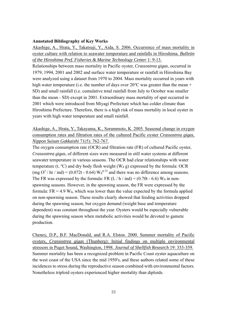#### **Annotated Bibliography of Key Works**

Akashige, A., Hrata, Y., Takatsuji, Y., Aida, S. 2006. Occurrence of mass mortality in oyster culture with relation to seawater temperature and rainfalls in Hiroshima. *Bulletin of the Hiroshima Pref. Fisheries & Marine Technology Center* 1: 9-13.

Relationships between mass mortality in Pacific oyster, *Crassostrea gigas*, occurred in 1979, 1994, 2001 and 2002 and surface water temperature or rainfall in Hiroshima Bay were analyzed using a dataset from 1970 to 2004. Mass mortality occurred in years with high water temperature (i.e. the number of days over 20 °C was greater than the mean + SD) and small rainfall (i.e. cumulative total rainfall from July to October was smaller than the mean - SD) except in 2001. Extraordinary mass mortality of spat occurred in 2001 which were introduced from Miyagi Prefecture which has colder climate than Hiroshima Prefecture. Therefore, there is a high risk of mass mortality in local oyster in years with high water temperature and small rainfall.

Akashige, A., Hrata, Y., Takayama, K., Sorammoto, K. 2005. Seasonal change in oxygen consumption rates and filtration rates of the cultured Pacific oyster *Crassostrea gigas*, *Nippon Suisan Gakkaishi* 71(5): 762-767.

The oxygen consumption rate (OCR) and filtration rate (FR) of cultured Pacific oyster, *Crassostrea gigas*, of different sizes were measured in still water systems at different seawater temperature in various seasons. The OCR had clear relationships with water temperature (t,  $\textdegree$ C) and dry body flesh weight (W<sub>d</sub> g) expressed by the formula: OCR (mg O<sup>2</sup> / hr / ind) = (0.072t - 0.64)  $\text{Wd}^{0.75}$  and there was no difference among seasons. The FR was expressed by the formula: FR  $(L/h / ind) = (0.70t - 6.6) W<sub>d</sub>$  in nonspawning seasons. However, in the spawning season, the FR were expressed by the formula:  $FR = 4.9 W_d$ , which was lower than the value expected by the formula applied on non-spawning season. These results clearly showed that feeding activities dropped during the spawning season, but oxygen demand (weight base and temperature dependent) was constant throughout the year. Oysters would be especially vulnerable during the spawning season when metabolic activities would be devoted to gamete production.

Cheney, D.P., B.F. MacDonald, and R.A. Elston. 2000. Summer mortality of Pacific oysters, *Crassostrea gigas* (Thunberg): Initial findings on multiple environmental stressors in Puget Sound, Washington, 1998. *Journal of Shellfish Research* 19: 353-359. Summer mortality has been a recognized problem in Pacific Coast oyster aquaculture on the west coast of the USA since the mid 1950's, and these authors related some of these incidences to stress during the reproductive season combined with environmental factors. Nonetheless triploid oysters experienced higher mortality than diploids.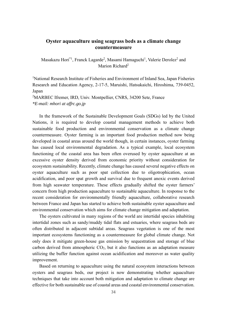### **Oyster aquaculture using seagrass beds as a climate change countermeasure**

Masakazu Hori<sup>\*1</sup>, Franck Lagarde<sup>2</sup>, Masami Hamaguchi<sup>1</sup>, Valerie Derolez<sup>2</sup> and Marion Richard<sup>2</sup>

<sup>1</sup>National Research Institute of Fisheries and Environment of Inland Sea, Japan Fisheries Research and Education Agency, 2-17-5, Maruishi, Hatsukaichi, Hiroshima, 739-0452, Japan <sup>2</sup>MARBEC Ifremer, IRD, Univ. Montpellier, CNRS, 34200 Sete, France *\*E-mail: mhori at affrc.go.jp* 

In the framework of the Sustainable Development Goals (SDGs) led by the United Nations, it is required to develop coastal management methods to achieve both sustainable food production and environmental conservation as a climate change countermeasure. Oyster farming is an important food production method now being developed in coastal areas around the world though, in certain instances, oyster farming has caused local environmental degradation. As a typical example, local ecosystem functioning of the coastal area has been often overused by oyster aquaculture at an excessive oyster density derived from economic priority without consideration for ecosystem sustainability. Recently, climate change has caused several negative effects on oyster aquaculture such as poor spat collection due to oligotrophication, ocean acidification, and poor spat growth and survival due to frequent anoxic events derived from high seawater temperature. These effects gradually shifted the oyster farmers' concern from high production aquaculture to sustainable aquaculture. In response to the recent consideration for environmentally friendly aquaculture, collaborative research between France and Japan has started to achieve both sustainable oyster aquaculture and environmental conservation which aims for climate change mitigation and adaptation.

The oysters cultivated in many regions of the world are intertidal species inhabiting intertidal zones such as sandy/muddy tidal flats and estuaries, where seagrass beds are often distributed in adjacent subtidal areas. Seagrass vegetation is one of the most important ecosystems functioning as a countermeasure for global climate change. Not only does it mitigate green-house gas emission by sequestration and storage of blue carbon derived from atmospheric CO2, but it also functions as an adaptation measure utilizing the buffer function against ocean acidification and moreover as water quality improvement.

Based on returning to aquaculture using the natural ecosystem interactions between oysters and seagrass beds, our project is now demonstrating whether aquaculture techniques that take into account both mitigation and adaptation to climate change are effective for both sustainable use of coastal areas and coastal environmental conservation.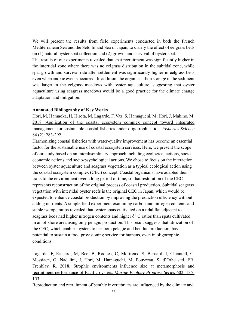We will present the results from field experiments conducted in both the French Mediterranean Sea and the Seto Inland Sea of Japan, to clarify the effect of eelgrass beds on (1) natural oyster spat collection and (2) growth and survival of oyster spat.

The results of our experiments revealed that spat recruitment was significantly higher in the intertidal zone where there was no eelgrass distribution in the subtidal zone, while spat growth and survival rate after settlement was significantly higher in eelgrass beds even when anoxic events occurred. In addition, the organic carbon storage in the sediment was larger in the eelgrass meadows with oyster aquaculture, suggesting that oyster aquaculture using seagrass meadows would be a good practice for the climate change adaptation and mitigation.

#### **Annotated Bibliography of Key Works**

Hori, M, Hamaoka, H, Hirota, M, Lagarde, F, Vaz, S, Hamaguchi, M, Hori, J, Makino, M. 2018. Application of the coastal ecosystem complex concept toward integrated management for sustainable coastal fisheries under oligotrophication. *Fisheries Science* 84 (2): 283-292.

Harmonizing coastal fisheries with water-quality improvement has become an essential factor for the sustainable use of coastal ecosystem services. Here, we present the scope of our study based on an interdisciplinary approach including ecological actions, socioeconomic actions and socio-psychological actions. We chose to focus on the interaction between oyster aquaculture and seagrass vegetation as a typical ecological action using the coastal ecosystem complex (CEC) concept. Coastal organisms have adapted their traits to the environment over a long period of time, so that restoration of the CEC represents reconstruction of the original process of coastal production. Subtidal seagrass vegetation with intertidal oyster reefs is the original CEC in Japan, which would be expected to enhance coastal production by improving the production efficiency without adding nutrients. A simple field experiment examining carbon and nitrogen contents and stable isotope ratios revealed that oyster spats cultivated on a tidal flat adjacent to seagrass beds had higher nitrogen contents and higher  $\delta^{13}$ C ratios than spats cultivated in an offshore area using only pelagic production. This result suggests that utilization of the CEC, which enables oysters to use both pelagic and benthic production, has potential to sustain a food provisioning service for humans, even in oligotrophic conditions.

Lagarde, F, Richard, M, Bec, B, Roques, C, Mortreux, S, Bernard, I, Chiantell, C, Messiaen, G, Nadalini, J, Hori, M, Hamaguchi, M, Pouvreau, S, d'Orbcastel, ER, Trenblay, R. 2018. Strophic environments influence size at metamorphosis and recruitment performance of Pacific oysters. *Marine Ecology Progress Series* 602: 135- 153.

Reproduction and recruitment of benthic invertebrates are influenced by the climate and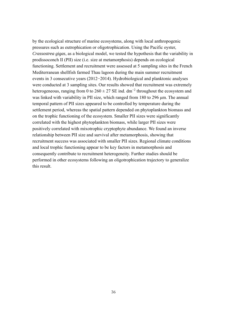by the ecological structure of marine ecosystems, along with local anthropogenic pressures such as eutrophication or oligotrophication. Using the Pacific oyster, *Crassostrea gigas*, as a biological model, we tested the hypothesis that the variability in prodissoconch II (PII) size (i.e. size at metamorphosis) depends on ecological functioning. Settlement and recruitment were assessed at 5 sampling sites in the French Mediterranean shellfish farmed Thau lagoon during the main summer recruitment events in 3 consecutive years (2012−2014). Hydrobiological and planktonic analyses were conducted at 3 sampling sites. Our results showed that recruitment was extremely heterogeneous, ranging from 0 to  $260 \pm 27$  SE ind. dm<sup>-2</sup> throughout the ecosystem and was linked with variability in PII size, which ranged from 180 to 296 μm. The annual temporal pattern of PII sizes appeared to be controlled by temperature during the settlement period, whereas the spatial pattern depended on phytoplankton biomass and on the trophic functioning of the ecosystem. Smaller PII sizes were significantly correlated with the highest phytoplankton biomass, while larger PII sizes were positively correlated with mixotrophic cryptophyte abundance. We found an inverse relationship between PII size and survival after metamorphosis, showing that recruitment success was associated with smaller PII sizes. Regional climate conditions and local trophic functioning appear to be key factors in metamorphosis and consequently contribute to recruitment heterogeneity. Further studies should be performed in other ecosystems following an oligotrophication trajectory to generalize this result.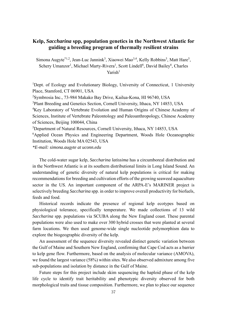# **Kelp,** *Saccharina* **spp, population genetics in the Northwest Atlantic for guiding a breeding program of thermally resilient strains**

Simona Augyte<sup>\*1,2</sup>, Jean-Luc Jannink<sup>3</sup>, Xiaowei Mao<sup>3,4</sup>, Kelly Robbins<sup>3</sup>, Matt Hare<sup>5</sup>, Schery Umanzor<sup>1</sup>, Michael Marty-Rivera<sup>1</sup>, Scott Lindell<sup>6</sup>, David Bailey<sup>6</sup>, Charles  $Yarish<sup>1</sup>$ 

<sup>1</sup>Dept. of Ecology and Evolutionary Biology, University of Connecticut, 1 University Place, Stamford, CT 06901, USA

2 Symbrosia Inc., 73-984 Makako Bay Drive, Kailua-Kona, HI 96740, USA

<sup>3</sup>Plant Breeding and Genetics Section, Cornell University, Ithaca, NY 14853, USA

<sup>4</sup>Key Laboratory of Vertebrate Evolution and Human Origins of Chinese Academy of Sciences, Institute of Vertebrate Paleontology and Paleoanthropology, Chinese Academy of Sciences, Beijing 100044, China

5 Department of Natural Resources, Cornell University, Ithaca, NY 14853, USA <sup>6</sup>Applied Ocean Physics and Engineering Department, Woods Hole Oceanographic Institution, Woods Hole MA 02543, USA

*\*E-mail: simona.augyte at uconn.edu* 

The cold-water sugar kelp, *Saccharina latissima* has a circumboreal distribution and in the Northwest Atlantic is at its southern distributional limits in Long Island Sound. An understanding of genetic diversity of natural kelp populations is critical for making recommendations for breeding and cultivation efforts of the growing seaweed aquaculture sector in the US. An important component of the ARPA-E's MARINER project is selectively breeding *Saccharina* spp. in order to improve overall productivity for biofuels, feeds and food.

Historical records indicate the presence of regional kelp ecotypes based on physiological tolerance, specifically temperature. We made collections of 13 wild *Saccharina* spp. populations via SCUBA along the New England coast. These parental populations were also used to make over 300 hybrid crosses that were planted at several farm locations. We then used genome-wide single nucleotide polymorphism data to explore the biogeographic diversity of the kelp.

An assessment of the sequence diversity revealed distinct genetic variation between the Gulf of Maine and Southern New England, confirming that Cape Cod acts as a barrier to kelp gene flow. Furthermore, based on the analysis of molecular variance (AMOVA), we found the largest variance (58%) within sites. We also observed admixture among five sub-populations and isolation by distance in the Gulf of Maine.

Future steps for this project include skim sequencing the haploid phase of the kelp life cycle to identify trait heritability and phenotypic diversity observed for both morphological traits and tissue composition. Furthermore, we plan to place our sequence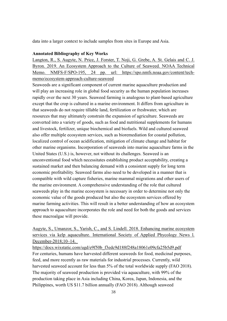data into a larger context to include samples from sites in Europe and Asia.

### **Annotated Bibliography of Key Works**

Langton, R., S. Augyte, N. Price, J. Forster, T. Noji, G. Grebe, A. St. Gelais and C. J. Byron. 2019. An Ecosystem Approach to the Culture of Seaweed. NOAA Technical Memo. NMFS-F/SPO-195, 24 pp. url: https://spo.nmfs.noaa.gov/content/techmemo/ecosystem-approach-culture-seaweed

Seaweeds are a significant component of current marine aquaculture production and will play an increasing role in global food security as the human population increases rapidly over the next 30 years. Seaweed farming is analogous to plant-based agriculture except that the crop is cultured in a marine environment. It differs from agriculture in that seaweeds do not require tillable land, fertilization or freshwater, which are resources that may ultimately constrain the expansion of agriculture. Seaweeds are converted into a variety of goods, such as food and nutritional supplements for humans and livestock, fertilizer, unique biochemical and biofuels. Wild and cultured seaweed also offer multiple ecosystem services, such as bioremediation for coastal pollution, localized control of ocean acidification, mitigation of climate change and habitat for other marine organisms. Incorporation of seaweeds into marine aquaculture farms in the United States (U.S.) is, however, not without its challenges. Seaweed is an unconventional food which necessitates establishing product acceptability, creating a sustained market and then balancing demand with a consistent supply for long term economic profitability. Seaweed farms also need to be developed in a manner that is compatible with wild capture fisheries, marine mammal migrations and other users of the marine environment. A comprehensive understanding of the role that cultured seaweeds play in the marine ecosystem is necessary in order to determine not only the economic value of the goods produced but also the ecosystem services offered by marine farming activities. This will result in a better understanding of how an ecosystem approach to aquaculture incorporates the role and need for both the goods and services these macroalgae will provide.

Augyte, S., Umanzor, S., Yarish, C., and S. Lindell. 2018. Enhancing marine ecosystem services via kelp aquaculture. International Society of Applied Phycology News l. December-2018;10–14.

https://docs.wixstatic.com/ugd/e9f50b\_f3edc9d188f248a18061e09cfa25b5d9.pdf For centuries, humans have harvested different seaweeds for food, medicinal purposes, feed, and more recently as raw materials for industrial processes. Currently, wild harvested seaweed account for less than 5% of the total worldwide supply (FAO 2018). The majority of seaweed production is provided via aquaculture, with 99% of the production taking place in Asia including China, Korea, Japan, Indonesia, and the Philippines, worth US \$11.7 billion annually (FAO 2018). Although seaweed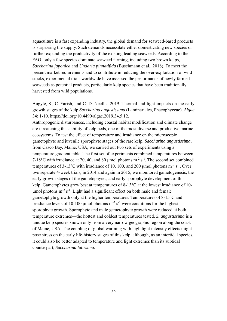aquaculture is a fast expanding industry, the global demand for seaweed-based products is surpassing the supply. Such demands necessitate either domesticating new species or further expanding the productivity of the existing leading seaweeds. According to the FAO, only a few species dominate seaweed farming, including two brown kelps, *Saccharina japonica* and *Undaria pinnatifida* (Buschmann et al., 2018). To meet the present market requirements and to contribute in reducing the over-exploitation of wild stocks, experimental trials worldwide have assessed the performance of newly farmed seaweeds as potential products, particularly kelp species that have been traditionally harvested from wild populations.

Augyte, S., C. Yarish, and C. D. Neefus. 2019. Thermal and light impacts on the early growth stages of the kelp *Saccharina angustissima* (Laminariales, Phaeophyceae). *Algae* 34: 1-10. https://doi.org/10.4490/algae.2019.34.5.12.

Anthropogenic disturbances, including coastal habitat modification and climate change are threatening the stability of kelp beds, one of the most diverse and productive marine ecosystems. To test the effect of temperature and irradiance on the microscopic gametophyte and juvenile sporophyte stages of the rare kelp, *Saccharina angustissima*, from Casco Bay, Maine, USA, we carried out two sets of experiments using a temperature gradient table. The first set of experiments combined temperatures between 7-18°C with irradiance at 20, 40, and 80 µmol photons  $m^{-2} s^{-1}$ . The second set combined temperatures of 3-13°C with irradiance of 10, 100, and 200 µmol photons  $m^2 s^1$ . Over two separate 4-week trials, in 2014 and again in 2015, we monitored gametogenesis, the early growth stages of the gametophytes, and early sporophyte development of this kelp. Gametophytes grew best at temperatures of 8-13°C at the lowest irradiance of 10 umol photons  $m^{-2} s^{-1}$ . Light had a significant effect on both male and female gametophyte growth only at the higher temperatures. Temperatures of 8-15°C and irradiance levels of 10-100 µmol photons  $m<sup>2</sup> s<sup>-1</sup>$  were conditions for the highest sporophyte growth. Sporophyte and male gametophyte growth were reduced at both temperature extremes—the hottest and coldest temperatures tested. *S. angustissima* is a unique kelp species known only from a very narrow geographic region along the coast of Maine, USA. The coupling of global warming with high light intensity effects might pose stress on the early life-history stages of this kelp, although, as an intertidal species, it could also be better adapted to temperature and light extremes than its subtidal counterpart, *Saccharina latissima*.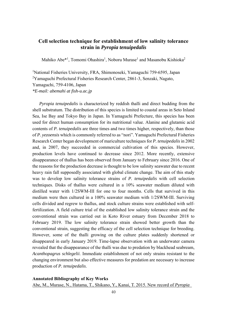# **Cell selection technique for establishment of low salinity tolerance strain in** *Pyropia tenuipedalis*

Mahiko Abe\*<sup>1</sup>, Tomomi Ohashira<sup>1</sup>, Noboru Murase<sup>1</sup> and Masanobu Kishioka<sup>2</sup>

<sup>1</sup>National Fisheries University, FRA, Shimonoseki, Yamaguchi 759-6595, Japan <sup>2</sup>Yamaguchi Prefectural Fisheries Research Center, 2861-3, Senzaki, Nagato, Yamaguchi, 759-4106, Japan *\*E-mail: abemahi at fish-u.ac.jp* 

*Pyropia tenuipedalis* is characterized by reddish thalli and direct budding from the shell substratum. The distribution of this species is limited to coastal areas in Seto Inland Sea, Ise Bay and Tokyo Bay in Japan. In Yamaguchi Prefecture, this species has been used for direct human consumption for its nutritional value. Alanine and glutamic acid contents of *P. tenuipedalis* are three times and two times higher, respectively, than those of *P. yezoensis* which is commonly referred to as "nori". Yamaguchi Prefectural Fisheries Research Center began development of mariculture techniques for *P. tenuipedalis* in 2002 and, in 2007, they succeeded in commercial cultivation of this species. However, production levels have continued to decrease since 2012. More recently, extensive disappearance of thallus has been observed from January to February since 2016. One of the reasons for the production decrease is thought to be low salinity seawater due to recent heavy rain fall supposedly associated with global climate change. The aim of this study was to develop low salinity tolerance strains of *P. tenuipedalis* with cell selection techniques. Disks of thallus were cultured in a 10% seawater medium diluted with distilled water with 1/2SWM-III for one to four months. Cells that survived in this medium were then cultured in a 100% seawater medium with 1/2SWM-III. Surviving cells divided and regrew to thallus, and stock culture strains were established with selffertilization. A field culture trial of the established low salinity tolerance strain and the conventional strain was carried out in Koto River estuary from December 2018 to February 2019. The low salinity tolerance strain showed better growth than the conventional strain, suggesting the efficacy of the cell selection technique for breeding. However, some of the thalli growing on the culture plates suddenly shortened or disappeared in early January 2019. Time-lapse observation with an underwater camera revealed that the disappearance of the thalli was due to predation by blackhead seabream, *Acanthopagrus schlegelii*. Immediate establishment of not only strains resistant to the changing environment but also effective measures for predation are necessary to increase production of *P. tenuipedalis*.

**Annotated Bibliography of Key Works**  Abe, M., Murase, N., Hatama, T., Shikano, Y., Kanai, T. 2015. New record of *Pyropia*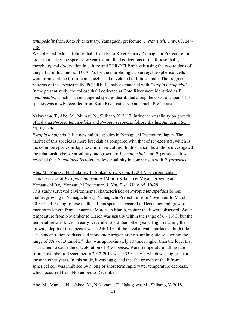*tenuipedalis* from Koto river estuary, Yamaguchi prefecture. *J. Nat. Fish. Univ.* 63, 244- 248.

We collected reddish foliose thalli from Koto River estuary, Yamaguchi Prefecture. In order to identify the species, we carried out field collections of the foliose thalli, morphological observation in culture and PCR-RFLP analysis using the two regions of the partial mitochondrial DNA. As for the morphological survey, the spherical cells were formed at the tips of conchocelis and developed to foliose thalli. The fragment patterns of this species in the PCR-RFLP analysis matched with *Pyropia tenuipedalis*. In the present study, the foliose thalli collected at Koto River were identified as *P. tenuipedalis*, which is an endangered species distributed along the coast of Japan. This species was newly recorded from Koto River estuary, Yamaguchi Prefecture.

# Nakayama, T., Abe, M., Murase, N., Shikano, Y. 2017. Influence of salinity on growth of red alga *Pyropia tenuipedalis* and *Pyropia yezoensis* foliose thallus. *Aquacult. Sci.* 65, 321-330.

*Pyropia tenuipedalis* is a new culture species in Yamaguchi Prefecture, Japan. The habitat of this species is more brackish as compared with that of *P. yezoensis*, which is the common species in Japanese nori mariculture. In this paper, the authors investigated the relationship between salinity and growth of *P. tenuipedalis* and *P. yezoensis*. It was revealed that *P. tenuipedalis* tolerates lower salinity in comparison with *P. yezoensis*.

Abe, M., Murase, N., Hatama, T., Shikano, Y., Kanai, T. 2017. Environmental characteristics of *Pyropia tenuipedalis* (Miura) Kikuchi et Miyata growing at Yamaguchi Bay, Yamaguchi Prefecture. *J. Nat. Fish. Univ.* 65, 19-29. This study surveyed environmental characteristics of *Pyropia tenuipedalis* foliose thallus growing in Yamaguchi Bay, Yamaguchi Prefecture from November to March, 2010-2014. Young foliose thallus of this species appeared in December and grew to maximum length from January to March. In March, mature thalli were observed. Water temperature from November to March was usually within the range of 6 - 16°C, but the temperature was lower in early December 2012 than other years. Light reaching the growing depth of this species was  $6.2 \pm 3.1\%$  of the level at water surface at high tide. The concentration of dissolved inorganic nitrogen at the sampling site was within the range of 8.8 - 68.3 µmol  $L^{-1}$ , that was approximately 10 times higher than the level that is assumed to cause the discoloration of *P. yezoensis*. Water temperature falling rate from November to December in 2012-2013 was  $0.33^{\circ}$ C day<sup>-1</sup>, which was higher than those in other years. In this study, it was suggested that the growth of thalli from spherical cell was inhibited by a long or short term rapid water temperature decrease, which occurred from November to December.

Abe, M., Murase, N., Nakae, M., Nakayama, T., Nakagawa, M., Shikano, Y. 2018.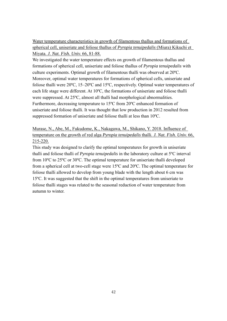Water temperature characteristics in growth of filamentous thallus and formations of spherical cell, uniseriate and foliose thallus of *Pyropia tenuipedalis* (Miura) Kikuchi et Miyata. *J. Nat. Fish. Univ.* 66, 81-88.

We investigated the water temperature effects on growth of filamentous thallus and formations of spherical cell, uniseriate and foliose thallus of *Pyropia tenuipedalis* with culture experiments. Optimal growth of filamentous thalli was observed at 20ºC. Moreover, optimal water temperatures for formations of spherical cells, uniseriate and foliose thalli were 20ºC, 15–20ºC and 15ºC, respectively. Optimal water temperatures of each life stage were different. At 10ºC, the formations of uniseriate and foliose thalli were suppressed. At 25ºC, almost all thalli had morphological abnormalities. Furthermore, decreasing temperature to 15ºC from 20ºC enhanced formation of uniseriate and foliose thalli. It was thought that low production in 2012 resulted from suppressed formation of uniseriate and foliose thalli at less than 10ºC.

Murase, N., Abe, M., Fukudome, K., Nakagawa, M., Shikano, Y. 2018. Influence of temperature on the growth of red alga *Pyropia tenuipedalis* thalli. *J. Nat. Fish. Univ.* 66, 215-220.

This study was designed to clarify the optimal temperatures for growth in uniseriate thalli and foliose thalli of *Pyropia tenuipedalis* in the laboratory culture at 5ºC interval from 10ºC to 25ºC or 30ºC. The optimal temperature for uniseriate thalli developed from a spherical cell at two-cell stage were 15ºC and 20ºC. The optimal temperature for foliose thalli allowed to develop from young blade with the length about 6 cm was 15ºC. It was suggested that the shift in the optimal temperatures from uniseriate to foliose thalli stages was related to the seasonal reduction of water temperature from autumn to winter.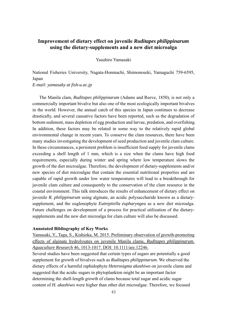# **Improvement of dietary effect on juvenile** *Ruditapes philippinarum* **using the dietary-supplements and a new diet microalga**

Yasuhiro Yamasaki

National Fisheries University, Nagata-Honmachi, Shimonoseki, Yamaguchi 759-6595, Japan

*E-mail: yamasaky at fish-u.ac.jp* 

The Manila clam, *Ruditapes philippinarum* (Adams and Reeve, 1850), is not only a commercially important bivalve but also one of the most ecologically important bivalves in the world. However, the annual catch of this species in Japan continues to decrease drastically, and several causative factors have been reported, such as the degradation of bottom sediment, mass depletion of egg production and larvae, predation, and overfishing. In addition, these factors may be related in some way to the relatively rapid global environmental change in recent years. To conserve the clam resources, there have been many studies investigating the development of seed production and juvenile clam culture. In these circumstances, a persistent problem is insufficient food supply for juvenile clams exceeding a shell length of 1 mm, which is a size when the clams have high food requirements, especially during winter and spring where low temperature slows the growth of the diet microalgae. Therefore, the development of dietary-supplements and/or new species of diet microalgae that contain the essential nutritional properties and are capable of rapid growth under low water temperatures will lead to a breakthrough for juvenile clam culture and consequently to the conservation of the clam resource in the coastal environment. This talk introduces the results of enhancement of dietary effect on juvenile *R. philippinarum* using alginate, an acidic polysaccharide known as a dietarysupplement, and the euglenophyte *Eutreptiella eupharyngea* as a new diet microalga. Future challenges on development of a process for practical utilization of the dietarysupplements and the new diet microalga for clam culture will also be discussed.

#### **Annotated Bibliography of Key Works**

Yamasaki, Y., Taga, S., Kishioka, M. 2015. Preliminary observation of growth-promoting effects of alginate hydrolysates on juvenile Manila clams, *Ruditapes philippinarum*. *Aquaculture Research* 46, 1013-1017. DOI: 10.1111/are.12246.

Several studies have been suggested that certain types of sugars are potentially a good supplement for growth of bivalves such as *Ruditapes philippinarum*. We observed the dietary effects of a harmful raphidophyte *Heterosigma akashiwo* on juvenile clams and suggested that the acidic sugars in phytoplankton might be an important factor determining the shell-length growth of clams because total sugar and acidic sugar content of *H. akashiwo* were higher than other diet microalgae. Therefore, we focused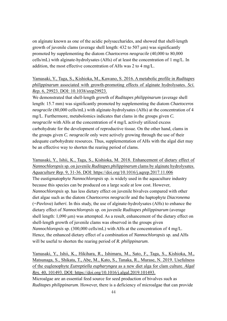on alginate known as one of the acidic polysaccharides, and showed that shell-length growth of juvenile clams (average shell length: 432 to 507 µm) was significantly promoted by supplementing the diatom *Chaetoceros neogracile* (40,000 to 80,000 cells/mL) with alginate-hydrolysates (AHs) of at least the concentration of 1 mg/L. In addition, the most effective concentration of AHs was 2 to 4 mg/L.

### Yamasaki, Y., Taga, S., Kishioka, M., Kawano, S. 2016. A metabolic profile in *Ruditapes philippinarum* associated with growth-promoting effects of alginate hydrolysates. *Sci. Rep.* 6, 29923. DOI: 10.1038/srep29923.

We demonstrated that shell-length growth of *Ruditapes philippinarum* (average shell length: 15.7 mm) was significantly promoted by supplementing the diatom *Chaetoceros neogracile* (80,000 cells/mL) with alginate-hydrolysates (AHs) at the concentration of 4 mg/L. Furthermore, metabolomics indicates that clams in the groups given *C. neogracile* with AHs at the concentration of 4 mg/L actively utilized excess carbohydrate for the development of reproductive tissue. On the other hand, clams in the groups given *C. neogracile* only were actively growing through the use of their adequate carbohydrate resources. Thus, supplementation of AHs with the algal diet may be an effective way to shorten the rearing period of clams.

Yamasaki, Y., Ishii, K., Taga, S., Kishioka, M. 2018. Enhancement of dietary effect of *Nannochloropsis* sp. on juvenile *Ruditapes philippinarum* clams by alginate hydrolysates. *Aquaculture Rep*. 9, 31-36. DOI: https://doi.org/10.1016/j.aqrep.2017.11.006 The eustigmatophyte *Nannochloropsis* sp. is widely used in the aquaculture industry because this species can be produced on a large scale at low cost. However, *Nannochloropsis* sp. has less dietary effect on juvenile bivalves compared with other diet algae such as the diatom *Chaetoceros neogracile* and the haptophyte *Diacronema* (=*Pavlova*) *lutheri*. In this study, the use of alginate-hydrolysates (AHs) to enhance the dietary effect of *Nannochloropsis* sp. on juvenile *Ruditapes philippinarum* (average shell length:  $1,090 \mu m$ ) was attempted. As a result, enhancement of the dietary effect on shell-length growth of juvenile clams was observed in the groups given *Nannochloropsis* sp. (300,000 cells/mL) with AHs at the concentration of 4 mg/L. Hence, the enhanced dietary effect of a combination of *Nannochloropsis* sp. and AHs will be useful to shorten the rearing period of *R. philippinarum*.

Yamasaki, Y., Ishii, K., Hikihara, R., Ishimaru, M., Sato, F., Taga, S., Kishioka, M., Matsunaga, S., Shikata, T., Abe, M., Kato, S., Tanaka, R., Murase, N. 2019. Usefulness of the euglenophyte *Eutreptiella eupharyngea* as a new diet alga for clam culture. *Algal Res*. 40, 101493. DOI: https://doi.org/10.1016/j.algal.2019.101493. Microalgae are an essential feed source for seed production of bivalves such as *Ruditapes philippinarum*. However, there is a deficiency of microalgae that can provide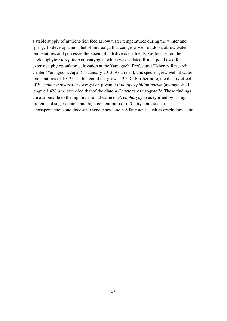a stable supply of nutrient-rich feed at low water temperatures during the winter and spring. To develop a new diet of microalga that can grow well outdoors at low water temperatures and possesses the essential nutritive constituents, we focused on the euglenophyte *Eutreptiella* eupharyngea, which was isolated from a pond used for extensive phytoplankton cultivation at the Yamaguchi Prefectural Fisheries Research Center (Yamaguchi, Japan) in January 2013. As a result, this species grew well at water temperatures of  $10-25$  °C, but could not grow at  $30$  °C. Furthermore, the dietary effect of *E. eupharyngea* per dry weight on juvenile *Ruditapes philippinarum* (average shell length: 1,426 µm) exceeded that of the diatom *Chaetoceros neogracile*. These findings are attributable to the high nutritional value of *E. eupharyngea* as typified by its high protein and sugar content and high content ratio of n-3 fatty acids such as eicosapentaenoic and docosahexaenoic acid and n-6 fatty acids such as arachidonic acid.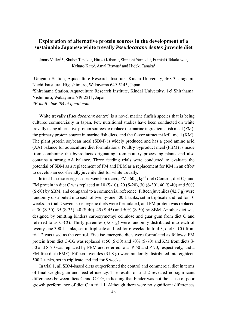# **Exploration of alternative protein sources in the development of a sustainable Japanese white trevally** *Pseudocaranx dentex* **juvenile diet**

Jonas Miller<sup>1\*</sup>, Shuhei Tanaka<sup>1</sup>, Hiroki Kihara<sup>1</sup>, Shinichi Yamada<sup>1</sup>, Fumiaki Takakuwa<sup>1</sup>, Keitaro Kato<sup>2</sup>, Amal Biswas<sup>1</sup> and Hideki Tanaka<sup>1</sup>

<sup>1</sup>Uragami Station, Aquaculture Research Institute, Kindai University, 468-3 Uragami, Nachi-katsuura, Higashimuro, Wakayama 649-5145, Japan <sup>2</sup>Shirahama Station, Aquaculture Research Institute, Kindai University, 1-5 Shirahama, Nishimuro, Wakayama 649-2211, Japan *\*E-mail: Jm6254 at gmail.com* 

White trevally (*Pseudocaranx dentex*) is a novel marine finfish species that is being cultured commercially in Japan. Few nutritional studies have been conducted on white trevally using alternative protein sources to replace the marine ingredients fish meal (FM), the primary protein source in marine fish diets, and the flavor attractant krill meal (KM). The plant protein soybean meal (SBM) is widely produced and has a good amino acid (AA) balance for aquaculture diet formulations. Poultry byproduct meal (PBM) is made from combining the byproducts originating from poultry processing plants and also contains a strong AA balance. Three feeding trials were conducted to evaluate the potential of SBM as a replacement of FM and PBM as a replacement for KM in an effort to develop an eco-friendly juvenile diet for white trevally.

In trial 1, six iso-energetic diets were formulated; FM 560 g  $kg^{-1}$  diet (Control, diet C), and FM protein in diet C was replaced at 10 (S-10), 20 (S-20), 30 (S-30), 40 (S-40) and 50% (S-50) by SBM, and compared to a commercial reference. Fifteen juveniles (42.7 g) were randomly distributed into each of twenty-one 500 L tanks, set in triplicate and fed for 10 weeks. In trial 2 seven iso-energetic diets were formulated, and FM protein was replaced at 30 (S-30), 35 (S-35), 40 (S-40), 45 (S-45) and 50% (S-50) by SBM. Another diet was designed by omitting binders carboxymethyl cellulose and guar gum from diet C and referred to as C-CG. Thirty juveniles (3.68 g) were randomly distributed into each of twenty-one 300 L tanks, set in triplicate and fed for 6 weeks. In trial 3, diet C-CG from trial 2 was used as the control. Five iso-energetic diets were formulated as follows: FM protein from diet C-CG was replaced at 50 (S-50) and 70% (S-70) and KM from diets S-50 and S-70 was replaced by PBM and referred to as P-50 and P-70, respectively, and a FM-free diet (FMF). Fifteen juveniles (31.8 g) were randomly distributed into eighteen 500 L tanks, set in triplicate and fed for 8 weeks.

In trial 1, all SBM-based diets outperformed the control and commercial diet in terms of final weight gain and feed efficiency. The results of trial 2 revealed no significant differences between diets C and C-CG, indicating that binder was not the cause of poor growth performance of diet C in trial 1. Although there were no significant differences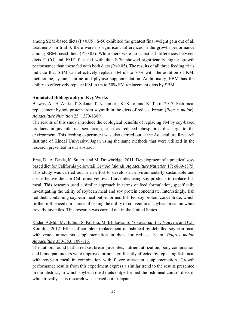among SBM-based diets (P>0.05), S-50 exhibited the greatest final weight gain out of all treatments. In trial 3, there were no significant differences in the growth performance among SBM-based diets (P>0.05). While there were no statistical differences between diets C-CG and FMF, fish fed with diet S-70 showed significantly higher growth performance than those fed with both diets  $(P<0.05)$ . The results of all three feeding trials indicate that SBM can effectively replace FM up to 70% with the addition of KM, methionine, lysine, taurine and phytase supplementation. Additionally, PBM has the ability to effectively replace KM in up to 50% FM replacement diets by SBM.

#### **Annotated Bibliography of Key Works**

Biswas, A., H. Araki, T. Sakata, T. Nakamori, K. Kato, and K. Takii. 2017. Fish meal replacement by soy protein from soymilk in the diets of red sea bream (*Pagrus major*). *Aquaculture Nutrition* 23: 1379-1389.

The results of this study introduce the ecological benefits of replacing FM by soy-based products in juvenile red sea bream, such as reduced phosphorus discharge to the environment. This feeding experiment was also carried out at the Aquaculture Research Institute of Kindai University, Japan using the same methods that were utilized in the research presented in our abstract.

Jirsa, D., A. Davis, K. Stuart, and M. Drawbridge. 2011. Development of a practical soybased diet for California yellowtail, *Seriola lalandi*. *Aquaculture Nutrition* 17: e869-e875. This study was carried out in an effort to develop an environmentally sustainable and cost-effective diet for California yellowtail juveniles using soy products to replace fish meal. This research used a similar approach in terms of feed formulation, specifically investigating the utility of soybean meal and soy protein concentrate. Interestingly, fish fed diets containing soybean meal outperformed fish fed soy protein concentrate, which further influenced our choice of testing the utility of conventional soybean meal on white trevally juveniles. This research was carried out in the United States.

Kader, A.Md., M. Bulbul, S. Koshio, M. Ishikawa, S. Yokoyama, B.T. Nguyen, and C.F. Komilus. 2012. Effect of complete replacement of fishmeal by dehulled soybean meal with crude attractants supplementation in diets for red sea beam, *Pagrus major. Aquaculture* 350-353: 109-116.

The authors found that in red sea bream juveniles, nutrient utilization, body composition and blood parameters were improved or not significantly affected by replacing fish meal with soybean meal in combination with flavor attractant supplementation. Growth performance results from this experiment express a similar trend to the results presented in our abstract, in which soybean meal diets outperformed the fish meal control diets in white trevally. This research was carried out in Japan.